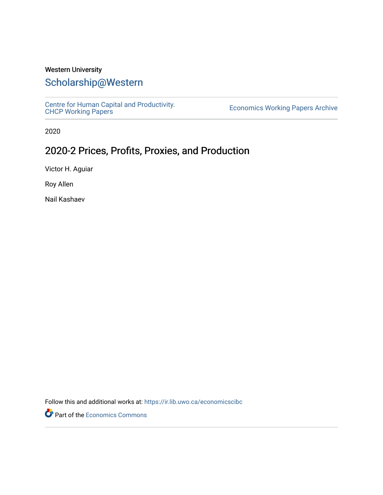## Western University

## [Scholarship@Western](https://ir.lib.uwo.ca/)

[Centre for Human Capital and Productivity.](https://ir.lib.uwo.ca/economicscibc)  [CHCP Working Papers](https://ir.lib.uwo.ca/economicscibc) [Economics Working Papers Archive](https://ir.lib.uwo.ca/econwpa) 

2020

## 2020-2 Prices, Profits, Proxies, and Production

Victor H. Aguiar

Roy Allen

Nail Kashaev

Follow this and additional works at: [https://ir.lib.uwo.ca/economicscibc](https://ir.lib.uwo.ca/economicscibc?utm_source=ir.lib.uwo.ca%2Feconomicscibc%2F151&utm_medium=PDF&utm_campaign=PDFCoverPages) 

Part of the [Economics Commons](http://network.bepress.com/hgg/discipline/340?utm_source=ir.lib.uwo.ca%2Feconomicscibc%2F151&utm_medium=PDF&utm_campaign=PDFCoverPages)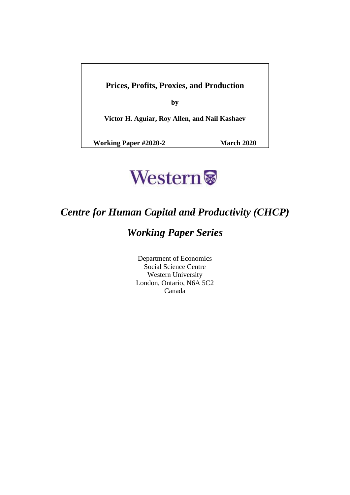**Prices, Profits, Proxies, and Production**

**by**

**Victor H. Aguiar, Roy Allen, and Nail Kashaev**

**Working Paper #2020-2 March 2020**



# *Centre for Human Capital and Productivity (CHCP)*

# *Working Paper Series*

Department of Economics Social Science Centre Western University London, Ontario, N6A 5C2 Canada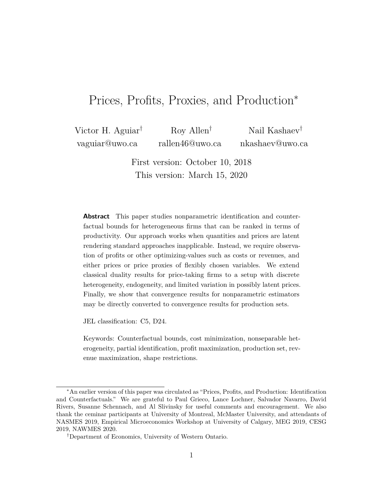## Prices, Profits, Proxies, and Production<sup>∗</sup>

Victor H. Aguiar† vaguiar@uwo.ca Roy Allen† rallen46@uwo.ca Nail Kashaev† nkashaev@uwo.ca

> First version: October 10, 2018 This version: March 15, 2020

**Abstract** This paper studies nonparametric identification and counterfactual bounds for heterogeneous firms that can be ranked in terms of productivity. Our approach works when quantities and prices are latent rendering standard approaches inapplicable. Instead, we require observation of profits or other optimizing-values such as costs or revenues, and either prices or price proxies of flexibly chosen variables. We extend classical duality results for price-taking firms to a setup with discrete heterogeneity, endogeneity, and limited variation in possibly latent prices. Finally, we show that convergence results for nonparametric estimators may be directly converted to convergence results for production sets.

JEL classification: C5, D24.

Keywords: Counterfactual bounds, cost minimization, nonseparable heterogeneity, partial identification, profit maximization, production set, revenue maximization, shape restrictions.

<sup>∗</sup>An earlier version of this paper was circulated as "Prices, Profits, and Production: Identification and Counterfactuals." We are grateful to Paul Grieco, Lance Lochner, Salvador Navarro, David Rivers, Susanne Schennach, and Al Slivinsky for useful comments and encouragement. We also thank the ceminar participants at University of Montreal, McMaster University, and attendants of NASMES 2019, Empirical Microeconomics Workshop at University of Calgary, MEG 2019, CESG 2019, NAWMES 2020.

<sup>†</sup>Department of Economics, University of Western Ontario.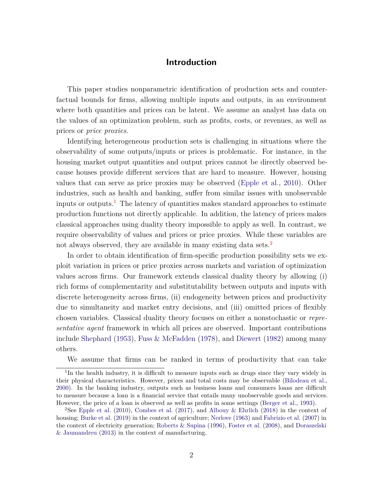## **Introduction**

This paper studies nonparametric identification of production sets and counterfactual bounds for firms, allowing multiple inputs and outputs, in an environment where both quantities and prices can be latent. We assume an analyst has data on the values of an optimization problem, such as profits, costs, or revenues, as well as prices or *price proxies*.

Identifying heterogeneous production sets is challenging in situations where the observability of some outputs/inputs or prices is problematic. For instance, in the housing market output quantities and output prices cannot be directly observed because houses provide different services that are hard to measure. However, housing values that can serve as price proxies may be observed [\(Epple et al.,](#page-36-0) [2010](#page-36-0)). Other industries, such as health and banking, suffer from similar issues with unobservable inputs or outputs.<sup>[1](#page-3-0)</sup> The latency of quantities makes standard approaches to estimate production functions not directly applicable. In addition, the latency of prices makes classical approaches using duality theory impossible to apply as well. In contrast, we require observability of values and prices or price proxies. While these variables are not always observed, they are available in many existing data sets.<sup>[2](#page-3-1)</sup>

In order to obtain identification of firm-specific production possibility sets we exploit variation in prices or price proxies across markets and variation of optimization values across firms. Our framework extends classical duality theory by allowing (i) rich forms of complementarity and substitutability between outputs and inputs with discrete heterogeneity across firms, (ii) endogeneity between prices and productivity due to simultaneity and market entry decisions, and (iii) omitted prices of flexibly chosen variables. Classical duality theory focuses on either a nonstochastic or *representative agent* framework in which all prices are observed. Important contributions include [Shephard](#page-38-0) [\(1953\)](#page-38-0), [Fuss & McFadden](#page-37-0) [\(1978](#page-37-0)), and [Diewert](#page-36-1) [\(1982](#page-36-1)) among many others.

We assume that firms can be ranked in terms of productivity that can take

<span id="page-3-0"></span><sup>&</sup>lt;sup>1</sup>In the health industry, it is difficult to measure inputs such as drugs since they vary widely in their physical characteristics. However, prices and total costs may be observable [\(Bilodeau et al.,](#page-35-0) [2000\)](#page-35-0). In the banking industry, outputs such as business loans and consumers loans are difficult to measure because a loan is a financial service that entails many unobservable goods and services. However, the price of a loan is observed as well as profits in some settings [\(Berger et al.,](#page-35-1) [1993\)](#page-35-1).

<span id="page-3-1"></span><sup>&</sup>lt;sup>2</sup>See [Epple et al.](#page-36-0) [\(2010](#page-36-0)), [Combes et al.](#page-36-2) [\(2017](#page-36-2)), and [Albouy & Ehrlich](#page-34-0) [\(2018\)](#page-34-0) in the context of housing; [Burke et al.](#page-35-2) [\(2019](#page-35-2)) in the context of agriculture; [Nerlove](#page-38-1) [\(1963](#page-38-1)) and [Fabrizio et al.](#page-36-3) [\(2007](#page-36-3)) in the context of [electricity generation;](#page-36-4) [Roberts & Supina](#page-38-2) [\(1996](#page-38-2)), [Foster et al.](#page-37-1) [\(2008](#page-37-1)), and Doraszelski & Jaumandreu [\(2013](#page-36-4)) in the context of manufacturing.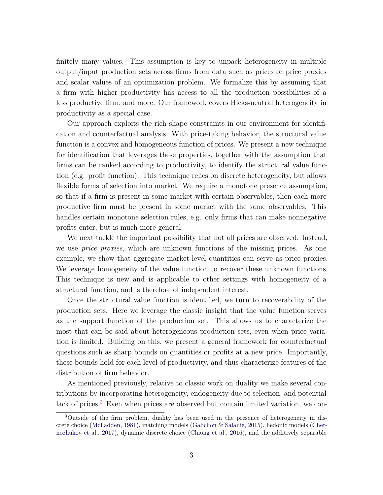finitely many values. This assumption is key to unpack heterogeneity in multiple output/input production sets across firms from data such as prices or price proxies and scalar values of an optimization problem. We formalize this by assuming that a firm with higher productivity has access to all the production possibilities of a less productive firm, and more. Our framework covers Hicks-neutral heterogeneity in productivity as a special case.

Our approach exploits the rich shape constraints in our environment for identification and counterfactual analysis. With price-taking behavior, the structural value function is a convex and homogeneous function of prices. We present a new technique for identification that leverages these properties, together with the assumption that firms can be ranked according to productivity, to identify the structural value function (e.g. profit function). This technique relies on discrete heterogeneity, but allows flexible forms of selection into market. We require a monotone presence assumption, so that if a firm is present in some market with certain observables, then each more productive firm must be present in some market with the same observables. This handles certain monotone selection rules, e.g. only firms that can make nonnegative profits enter, but is much more general.

We next tackle the important possibility that not all prices are observed. Instead, we use *price proxies*, which are unknown functions of the missing prices. As one example, we show that aggregate market-level quantities can serve as price proxies. We leverage homogeneity of the value function to recover these unknown functions. This technique is new and is applicable to other settings with homogeneity of a structural function, and is therefore of independent interest.

Once the structural value function is identified, we turn to recoverability of the production sets. Here we leverage the classic insight that the value function serves as the support function of the production set. This allows us to characterize the most that can be said about heterogeneous production sets, even when price variation is limited. Building on this, we present a general framework for counterfactual questions such as sharp bounds on quantities or profits at a new price. Importantly, these bounds hold for each level of productivity, and thus characterize features of the distribution of firm behavior.

As mentioned previously, relative to classic work on duality we make several contributions by incorporating heterogeneity, endogeneity due to selection, and potential lack of prices.<sup>[3](#page-4-0)</sup> Even when prices are observed but contain limited variation, we con-

<span id="page-4-0"></span><sup>3</sup>Outside of the firm problem, duality has been used in the presence of heterogeneity in discrete choice [\(McFadden](#page-38-3), [1981](#page-38-3)[\), matching models](#page-35-3) [\(Galichon & Salanié](#page-37-2)[,](#page-35-3) [2015](#page-37-2)), hedonic models (Chernozhukov et al., [2017\)](#page-35-3), dynamic discrete choice [\(Chiong et al.](#page-36-5), [2016\)](#page-36-5), and the additively separable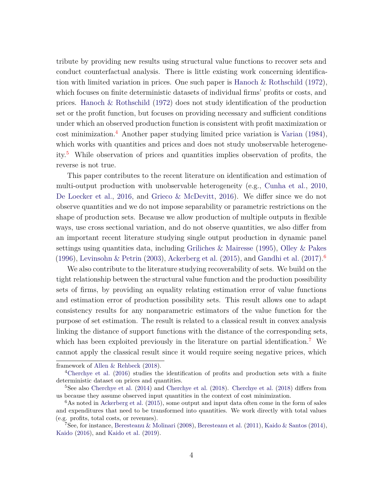tribute by providing new results using structural value functions to recover sets and conduct counterfactual analysis. There is little existing work concerning identification with limited variation in prices. One such paper is [Hanoch & Rothschild](#page-37-3) [\(1972\)](#page-37-3), which focuses on finite deterministic datasets of individual firms' profits or costs, and prices. [Hanoch & Rothschild](#page-37-3) [\(1972\)](#page-37-3) does not study identification of the production set or the profit function, but focuses on providing necessary and sufficient conditions under which an observed production function is consistent with profit maximization or  $\cot$  minimization.<sup>[4](#page-5-0)</sup> Another paper studying limited price variation is [Varian](#page-39-0) [\(1984\)](#page-39-0), which works with quantities and prices and does not study unobservable heterogeneity.[5](#page-5-1) While observation of prices and quantities implies observation of profits, the reverse is not true.

This paper contributes to the recent literature on identification and estimation of multi-output production with unobservable heterogeneity (e.g., [Cunha et al.,](#page-36-6) [2010](#page-36-6), [De Loecker et al.](#page-36-7), [2016,](#page-36-7) and [Grieco & McDevitt,](#page-37-4) [2016\)](#page-37-4). We differ since we do not observe quantities and we do not impose separability or parametric restrictions on the shape of production sets. Because we allow production of multiple outputs in flexible ways, use cross sectional variation, and do not observe quantities, we also differ from an important recent literature studying single output production in dynamic panel settings using quantities data, including [Griliches & Mairesse](#page-37-5) [\(1995\)](#page-37-5), [Olley & Pakes](#page-38-4) [\(1996\)](#page-38-4), [Levinsohn & Petrin](#page-38-5) [\(2003\)](#page-38-5), [Ackerberg et al.](#page-34-1) [\(2015](#page-34-1)), and [Gandhi et al.](#page-37-6) [\(2017\)](#page-37-6).<sup>[6](#page-5-2)</sup>

We also contribute to the literature studying recoverability of sets. We build on the tight relationship between the structural value function and the production possibility sets of firms, by providing an equality relating estimation error of value functions and estimation error of production possibility sets. This result allows one to adapt consistency results for any nonparametric estimators of the value function for the purpose of set estimation. The result is related to a classical result in convex analysis linking the distance of support functions with the distance of the corresponding sets, which has been exploited previously in the literature on partial identification.<sup>[7](#page-5-3)</sup> We cannot apply the classical result since it would require seeing negative prices, which

framework of [Allen & Rehbeck](#page-34-2) [\(2018\)](#page-34-2).

<span id="page-5-0"></span><sup>4</sup>[Cherchye et al.](#page-35-4) [\(2016](#page-35-4)) studies the identification of profits and production sets with a finite deterministic dataset on prices and quantities.

<span id="page-5-1"></span> $5$ See also [Cherchye et al.](#page-35-6) [\(2014](#page-35-5)) and Cherchye et al. [\(2018](#page-35-6)). Cherchye et al. (2018) differs from us because they assume observed input quantities in the context of cost minimization.

<span id="page-5-2"></span> $6$ As noted in [Ackerberg et al.](#page-34-1) [\(2015\)](#page-34-1), some output and input data often come in the form of sales and expenditures that need to be transformed into quantities. We work directly with total values (e.g. profits, total costs, or revenues).

<span id="page-5-3"></span><sup>&</sup>lt;sup>7</sup>See, for instance, [Beresteanu & Molinari](#page-35-7) [\(2008\)](#page-35-7), [Beresteanu et al.](#page-34-3) [\(2011\)](#page-34-3), [Kaido & Santos](#page-37-7) [\(2014\)](#page-37-7), [Kaido](#page-37-8) [\(2016](#page-37-8)), and [Kaido et al.](#page-37-9) [\(2019](#page-37-9)).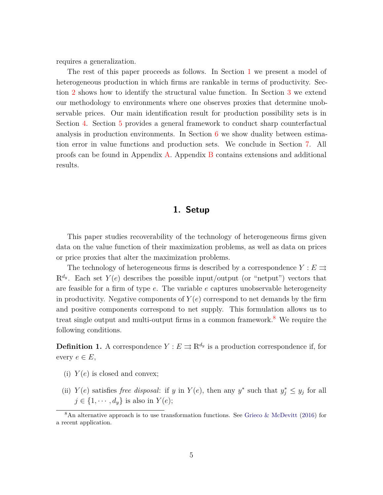requires a generalization.

The rest of this paper proceeds as follows. In Section [1](#page-6-0) we present a model of heterogeneous production in which firms are rankable in terms of productivity. Section [2](#page-9-0) shows how to identify the structural value function. In Section [3](#page-15-0) we extend our methodology to environments where one observes proxies that determine unobservable prices. Our main identification result for production possibility sets is in Section [4.](#page-24-0) Section [5](#page-28-0) provides a general framework to conduct sharp counterfactual analysis in production environments. In Section [6](#page-31-0) we show duality between estimation error in value functions and production sets. We conclude in Section [7.](#page-34-4) All proofs can be found in Appendix [A.](#page-39-1) Appendix [B](#page-49-0) contains extensions and additional results.

## **1. Setup**

<span id="page-6-0"></span>This paper studies recoverability of the technology of heterogeneous firms given data on the value function of their maximization problems, as well as data on prices or price proxies that alter the maximization problems.

The technology of heterogeneous firms is described by a correspondence  $Y : E \rightrightarrows$  $\mathbb{R}^{d_y}$ . Each set  $Y(e)$  describes the possible input/output (or "netput") vectors that are feasible for a firm of type *e*. The variable *e* captures unobservable heterogeneity in productivity. Negative components of  $Y(e)$  correspond to net demands by the firm and positive components correspond to net supply. This formulation allows us to treat single output and multi-output firms in a common framework.<sup>[8](#page-6-1)</sup> We require the following conditions.

<span id="page-6-2"></span>**Definition 1.** A correspondence  $Y: E \rightrightarrows \mathbb{R}^{d_y}$  is a production correspondence if, for every  $e \in E$ ,

- (i)  $Y(e)$  is closed and convex;
- (ii) *Y*(*e*) satisfies *free disposal*: if *y* in *Y*(*e*), then any *y*<sup>\*</sup> such that  $y_j^* \leq y_j$  for all  $j \in \{1, \dots, d_v\}$  is also in  $Y(e)$ ;

<span id="page-6-1"></span> $8\text{An alternative approach is to use transformation functions. See Grieco & McDevitt (2016) for }$  $8\text{An alternative approach is to use transformation functions. See Grieco & McDevitt (2016) for }$  $8\text{An alternative approach is to use transformation functions. See Grieco & McDevitt (2016) for }$  $8\text{An alternative approach is to use transformation functions. See Grieco & McDevitt (2016) for }$  $8\text{An alternative approach is to use transformation functions. See Grieco & McDevitt (2016) for }$ a recent application.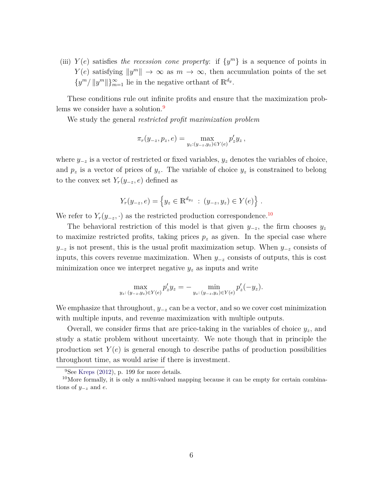(iii)  $Y(e)$  satisfies *the recession cone property*: if  $\{y^m\}$  is a sequence of points in *Y*(*e*) satisfying  $||y^m|| \to \infty$  as  $m \to \infty$ , then accumulation points of the set  $\{y^m / ||y^m||\}_{m=1}^{\infty}$  lie in the negative orthant of  $\mathbb{R}^{d_y}$ .

These conditions rule out infinite profits and ensure that the maximization prob-lems we consider have a solution.<sup>[9](#page-7-0)</sup>

We study the general *restricted profit maximization problem*

$$
\pi_r(y_{-z}, p_z, e) = \max_{y_z:(y_{-z}, y_z) \in Y(e)} p'_z y_z,
$$

where *y*−*<sup>z</sup>* is a vector of restricted or fixed variables, *y<sup>z</sup>* denotes the variables of choice, and  $p_z$  is a vector of prices of  $y_z$ . The variable of choice  $y_z$  is constrained to belong to the convex set  $Y_r(y_{-z}, e)$  defined as

$$
Y_r(y_{-z}, e) = \{y_z \in \mathbb{R}^{d_{yz}} : (y_{-z}, y_z) \in Y(e)\}.
$$

We refer to  $Y_r(y_{-z}, \cdot)$  as the restricted production correspondence.<sup>[10](#page-7-1)</sup>

The behavioral restriction of this model is that given  $y_{-z}$ , the firm chooses  $y_z$ to maximize restricted profits, taking prices  $p_z$  as given. In the special case where *y*−*z* is not present, this is the usual profit maximization setup. When  $y_{-z}$  consists of inputs, this covers revenue maximization. When *y*−*<sup>z</sup>* consists of outputs, this is cost minimization once we interpret negative *y<sup>z</sup>* as inputs and write

$$
\max_{y_z:(y_{-z},y_z)\in Y(e)}p'_zy_z=-\min_{y_z:(y_{-z},y_z)\in Y(e)}p'_z(-y_z).
$$

We emphasize that throughout, *y*−*<sup>z</sup>* can be a vector, and so we cover cost minimization with multiple inputs, and revenue maximization with multiple outputs.

Overall, we consider firms that are price-taking in the variables of choice *yz*, and study a static problem without uncertainty. We note though that in principle the production set  $Y(e)$  is general enough to describe paths of production possibilities throughout time, as would arise if there is investment.

<span id="page-7-0"></span> ${}^{9}$ See [Kreps](#page-38-6) [\(2012](#page-38-6)), p. 199 for more details.

<span id="page-7-2"></span><span id="page-7-1"></span><sup>&</sup>lt;sup>10</sup>More formally, it is only a multi-valued mapping because it can be empty for certain combinations of *y*−*<sup>z</sup>* and *e*.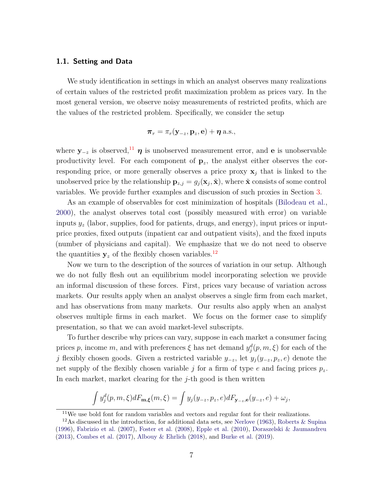## **1.1. Setting and Data**

We study identification in settings in which an analyst observes many realizations of certain values of the restricted profit maximization problem as prices vary. In the most general version, we observe noisy measurements of restricted profits, which are the values of the restricted problem. Specifically, we consider the setup

$$
\boldsymbol{\pi}_r = \pi_r(\mathbf{y}_{-z}, \mathbf{p}_z, \mathbf{e}) + \boldsymbol{\eta} \text{ a.s.},
$$

where  $y_{-z}$  is observed,<sup>[11](#page-8-0)</sup>  $\eta$  is unobserved measurement error, and **e** is unobservable productivity level. For each component of  $\mathbf{p}_z$ , the analyst either observes the corresponding price, or more generally observes a price proxy  $x_j$  that is linked to the unobserved price by the relationship  $\mathbf{p}_{z,j} = g_j(\mathbf{x}_j, \tilde{\mathbf{x}})$ , where  $\tilde{\mathbf{x}}$  consists of some control variables. We provide further examples and discussion of such proxies in Section [3.](#page-15-0)

As an example of observables for cost minimization of hospitals [\(Bilodeau et al.](#page-35-0), [2000](#page-35-0)), the analyst observes total cost (possibly measured with error) on variable inputs *y<sup>z</sup>* (labor, supplies, food for patients, drugs, and energy), input prices or inputprice proxies, fixed outputs (inpatient car and outpatient visits), and the fixed inputs (number of physicians and capital). We emphasize that we do not need to observe the quantities  $y_z$  of the flexibly chosen variables.<sup>[12](#page-8-1)</sup>

Now we turn to the description of the sources of variation in our setup. Although we do not fully flesh out an equilibrium model incorporating selection we provide an informal discussion of these forces. First, prices vary because of variation across markets. Our results apply when an analyst observes a single firm from each market, and has observations from many markets. Our results also apply when an analyst observes multiple firms in each market. We focus on the former case to simplify presentation, so that we can avoid market-level subscripts.

To further describe why prices can vary, suppose in each market a consumer facing prices *p*, income *m*, and with preferences  $\xi$  has net demand  $y_j^d(p, m, \xi)$  for each of the *j* flexibly chosen goods. Given a restricted variable *y*−*z*, let *y<sup>j</sup>* (*y*−*z, pz, e*) denote the net supply of the flexibly chosen variable *j* for a firm of type *e* and facing prices *pz*. In each market, market clearing for the *j*-th good is then written

$$
\int y_j^d(p,m,\xi)dF_{\mathbf{m},\xi}(m,\xi) = \int y_j(y_{-z},p_z,e)dF_{\mathbf{y}_{-z},\mathbf{e}}(y_{-z},e) + \omega_j,
$$

<span id="page-8-0"></span><sup>11</sup>We use bold font for random variables and vectors and regular font for their realizations.

<span id="page-8-1"></span><sup>&</sup>lt;sup>12</sup>As discussed in the introduction, for additional data sets, see [Nerlove](#page-38-1) [\(1963](#page-38-1)), [Roberts & Supina](#page-38-2) [\(1996\)](#page-38-2), [Fabrizio et al.](#page-36-3) [\(2007](#page-36-3)), [Foster et al.](#page-37-1) [\(2008\)](#page-37-1), [Epple et al.](#page-36-0) [\(2010](#page-36-0)), [Doraszelski & Jaumandreu](#page-36-4) [\(2013\)](#page-36-4), [Combes et al.](#page-36-2) [\(2017\)](#page-36-2), [Albouy & Ehrlich](#page-34-0) [\(2018](#page-34-0)), and [Burke et al.](#page-35-2) [\(2019](#page-35-2)).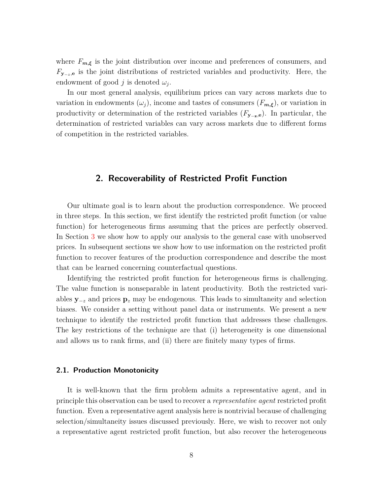where  $F_{m,\xi}$  is the joint distribution over income and preferences of consumers, and *F*<sub>**y**−*z*,**e** is the joint distributions of restricted variables and productivity. Here, the</sub> endowment of good *j* is denoted  $\omega_j$ .

In our most general analysis, equilibrium prices can vary across markets due to variation in endowments  $(\omega_j)$ , income and tastes of consumers  $(F_{m,\xi})$ , or variation in productivity or determination of the restricted variables (*F***<sup>y</sup>**−**z***,***e**). In particular, the determination of restricted variables can vary across markets due to different forms of competition in the restricted variables.

## <span id="page-9-0"></span>**2. Recoverability of Restricted Profit Function**

Our ultimate goal is to learn about the production correspondence. We proceed in three steps. In this section, we first identify the restricted profit function (or value function) for heterogeneous firms assuming that the prices are perfectly observed. In Section [3](#page-15-0) we show how to apply our analysis to the general case with unobserved prices. In subsequent sections we show how to use information on the restricted profit function to recover features of the production correspondence and describe the most that can be learned concerning counterfactual questions.

Identifying the restricted profit function for heterogeneous firms is challenging. The value function is nonseparable in latent productivity. Both the restricted variables **y**−*<sup>z</sup>* and prices **p***<sup>z</sup>* may be endogenous. This leads to simultaneity and selection biases. We consider a setting without panel data or instruments. We present a new technique to identify the restricted profit function that addresses these challenges. The key restrictions of the technique are that (i) heterogeneity is one dimensional and allows us to rank firms, and (ii) there are finitely many types of firms.

#### **2.1. Production Monotonicity**

It is well-known that the firm problem admits a representative agent, and in principle this observation can be used to recover a *representative agent* restricted profit function. Even a representative agent analysis here is nontrivial because of challenging selection/simultaneity issues discussed previously. Here, we wish to recover not only a representative agent restricted profit function, but also recover the heterogeneous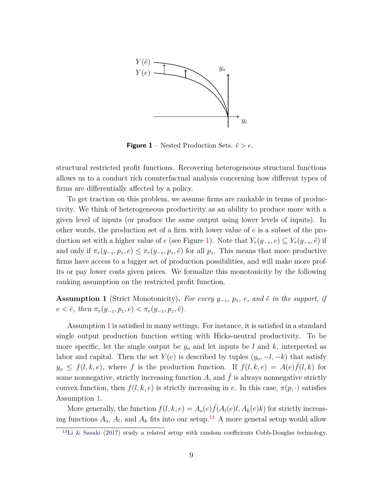<span id="page-10-0"></span>

**Figure 1** – Nested Production Sets.  $\tilde{e} > e$ .

structural restricted profit functions. Recovering heterogeneous structural functions allows us to a conduct rich counterfactual analysis concerning how different types of firms are differentially affected by a policy.

To get traction on this problem, we assume firms are rankable in terms of productivity. We think of heterogeneous productivity as an ability to produce more with a given level of inputs (or produce the same output using lower levels of inputs). In other words, the production set of a firm with lower value of *e* is a subset of the production set with a higher value of *e* (see Figure [1\)](#page-10-0). Note that  $Y_r(y_{-z}, e) \subseteq Y_r(y_{-z}, e)$  if and only if  $\pi_r(y_{-z}, p_z, e) \leq \pi_r(y_{-z}, p_z, \tilde{e})$  for all  $p_z$ . This means that more productive firms have access to a bigger set of production possibilities, and will make more profits or pay lower costs given prices. We formalize this monotonicity by the following ranking assumption on the restricted profit function.

<span id="page-10-1"></span>**Assumption 1** (Strict Monotonicity). For every  $y_{-z}$ ,  $p_z$ ,  $e$ , and  $\tilde{e}$  in the support, if  $e < \tilde{e}$ *, then*  $\pi_r(y_{-z}, p_z, e) < \pi_r(y_{-z}, p_z, \tilde{e})$ *.* 

Assumption [1](#page-10-1) is satisfied in many settings. For instance, it is satisfied in a standard single output production function setting with Hicks-neutral productivity. To be more specific, let the single output be *y<sup>o</sup>* and let inputs be *l* and *k*, interpreted as labor and capital. Then the set  $Y(e)$  is described by tuples  $(y_o, -l, -k)$  that satisfy  $y_o \leq f(l, k, e)$ , where *f* is the production function. If  $f(l, k, e) = A(e)\overline{f}(l, k)$  for some nonnegative, strictly increasing function  $A$ , and  $f$  is always nonnegative strictly convex function, then  $f(l, k, e)$  is strictly increasing in *e*. In this case,  $\pi(p, \cdot)$  satisfies Assumption [1.](#page-10-1)

More generally, the function  $f(l, k, e) = A_o(e) \bar{f}(A_l(e)l, A_k(e)k)$  for strictly increasing functions  $A_o$ ,  $A_l$ , and  $A_k$  fits into our setup.<sup>[13](#page-10-2)</sup> A more general setup would allow

<span id="page-10-2"></span> $13$ [Li & Sasaki](#page-38-7) [\(2017\)](#page-38-7) study a related setup with random coefficients Cobb-Douglas technology,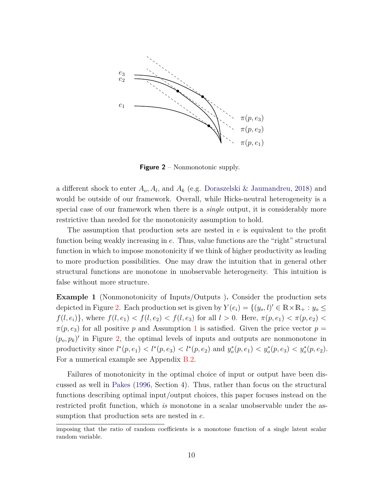<span id="page-11-0"></span>

**Figure 2** – Nonmonotonic supply.

a different shock to enter *Ao, A<sup>l</sup>* , and *A<sup>k</sup>* (e.g. [Doraszelski & Jaumandreu](#page-36-8), [2018\)](#page-36-8) and would be outside of our framework. Overall, while Hicks-neutral heterogeneity is a special case of our framework when there is a *single* output, it is considerably more restrictive than needed for the monotonicity assumption to hold.

The assumption that production sets are nested in *e* is equivalent to the profit function being weakly increasing in *e*. Thus, value functions are the "right" structural function in which to impose monotonicity if we think of higher productivity as leading to more production possibilities. One may draw the intuition that in general other structural functions are monotone in unobservable heterogeneity. This intuition is false without more structure.

**Example 1** (Nonmonotonicity of Inputs/Outputs )**.** Consider the production sets depicted in Figure [2.](#page-11-0) Each production set is given by  $Y(e_i) = \{(y_o, l)' \in \mathbb{R} \times \mathbb{R}_+ : y_o \leq$  $f(l, e_i)$ }, where  $f(l, e_1) < f(l, e_2) < f(l, e_3)$  for all  $l > 0$ . Here,  $\pi(p, e_1) < \pi(p, e_2)$  $\pi(p, e_3)$  for all positive *p* and Assumption [1](#page-10-1) is satisfied. Given the price vector  $p =$  $(p_o, p_k)'$  in Figure [2,](#page-11-0) the optimal levels of inputs and outputs are nonmonotone in productivity since  $l^*(p, e_1) < l^*(p, e_3) < l^*(p, e_2)$  and  $y_o^*(p, e_1) < y_o^*(p, e_3) < y_o^*(p, e_2)$ . For a numerical example see Appendix [B.2.](#page-51-0)

Failures of monotonicity in the optimal choice of input or output have been discussed as well in [Pakes](#page-38-8) [\(1996](#page-38-8), Section 4). Thus, rather than focus on the structural functions describing optimal input/output choices, this paper focuses instead on the restricted profit function, which *is* monotone in a scalar unobservable under the assumption that production sets are nested in *e*.

imposing that the ratio of random coefficients is a monotone function of a single latent scalar random variable.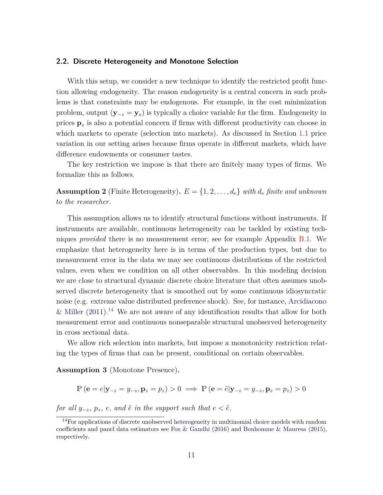#### **2.2. Discrete Heterogeneity and Monotone Selection**

With this setup, we consider a new technique to identify the restricted profit function allowing endogeneity. The reason endogeneity is a central concern in such problems is that constraints may be endogenous. For example, in the cost minimization problem, output (**y**−*<sup>z</sup>* = **y***o*) is typically a choice variable for the firm. Endogeneity in prices **p***<sup>z</sup>* is also a potential concern if firms with different productivity can choose in which markets to operate (selection into markets). As discussed in Section [1.1](#page-7-2) price variation in our setting arises because firms operate in different markets, which have difference endowments or consumer tastes.

The key restriction we impose is that there are finitely many types of firms. We formalize this as follows.

**Assumption 2** (Finite Heterogeneity).  $E = \{1, 2, \ldots, d_e\}$  with  $d_e$  finite and unknown *to the researcher.*

This assumption allows us to identify structural functions without instruments. If instruments are available, continuous heterogeneity can be tackled by existing techniques *provided* there is no measurement error; see for example Appendix [B.1.](#page-49-1) We emphasize that heterogeneity here is in terms of the production types, but due to measurement error in the data we may see continuous distributions of the restricted values, even when we condition on all other observables. In this modeling decision we are close to structural dynamic discrete choice literature that often assumes unobserved discrete heterogeneity that is smoothed out by some continuous idiosyncratic noise (e.[g. extreme value distributed preference shock\). See,](#page-34-5) for instance, Arcidiacono & Miller  $(2011).<sup>14</sup>$  $(2011).<sup>14</sup>$  $(2011).<sup>14</sup>$  $(2011).<sup>14</sup>$  We are not aware of any identification results that allow for both measurement error and continuous nonseparable structural unobserved heterogeneity in cross sectional data.

We allow rich selection into markets, but impose a monotonicity restriction relating the types of firms that can be present, conditional on certain observables.

<span id="page-12-1"></span>**Assumption 3** (Monotone Presence)**.**

$$
\mathbb{P}\left(\mathbf{e}=e|\mathbf{y}_{-z}=y_{-z},\mathbf{p}_z=p_z\right) > 0 \implies \mathbb{P}\left(\mathbf{e}=\tilde{e}|\mathbf{y}_{-z}=y_{-z},\mathbf{p}_z=p_z\right) > 0
$$

*for all*  $y_{-z}$ *,*  $p_z$ *, e, and*  $\tilde{e}$  *in the support such that*  $e < \tilde{e}$ *.* 

<span id="page-12-0"></span><sup>&</sup>lt;sup>14</sup>For applications of discrete unobserved heterogeneity in multinomial choice models with random coefficients and panel data estimators see Fox  $\&$  Gandhi [\(2016\)](#page-37-10) and Bonhomme  $\&$  Manresa [\(2015\)](#page-35-8), respectively.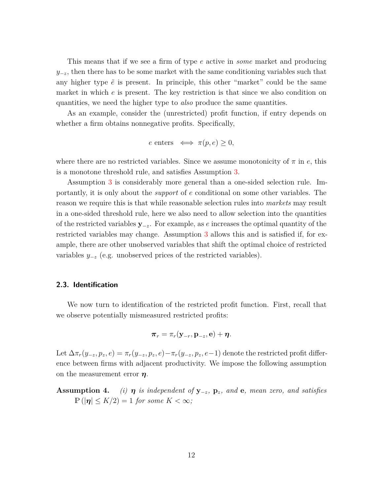This means that if we see a firm of type *e* active in *some* market and producing  $y_{-z}$ , then there has to be some market with the same conditioning variables such that any higher type  $\tilde{e}$  is present. In principle, this other "market" could be the same market in which *e* is present. The key restriction is that since we also condition on quantities, we need the higher type to *also* produce the same quantities.

As an example, consider the (unrestricted) profit function, if entry depends on whether a firm obtains nonnegative profits. Specifically,

$$
e \text{ enters } \iff \pi(p, e) \ge 0,
$$

where there are no restricted variables. Since we assume monotonicity of *π* in *e*, this is a monotone threshold rule, and satisfies Assumption [3.](#page-12-1)

Assumption [3](#page-12-1) is considerably more general than a one-sided selection rule. Importantly, it is only about the *support* of *e* conditional on some other variables. The reason we require this is that while reasonable selection rules into *markets* may result in a one-sided threshold rule, here we also need to allow selection into the quantities of the restricted variables **y**−*z*. For example, as *e* increases the optimal quantity of the restricted variables may change. Assumption [3](#page-12-1) allows this and is satisfied if, for example, there are other unobserved variables that shift the optimal choice of restricted variables *y*−*<sup>z</sup>* (e.g. unobserved prices of the restricted variables).

#### **2.3. Identification**

We now turn to identification of the restricted profit function. First, recall that we observe potentially mismeasured restricted profits:

$$
\boldsymbol{\pi}_r = \pi_r(\mathbf{y}_{-r},\mathbf{p}_{-z},\mathbf{e}) + \boldsymbol{\eta}.
$$

Let  $\Delta \pi_r(y_{-z}, p_z, e) = \pi_r(y_{-z}, p_z, e) - \pi_r(y_{-z}, p_z, e-1)$  denote the restricted profit difference between firms with adjacent productivity. We impose the following assumption on the measurement error *η*.

**Assumption 4.** *(i)*  $\eta$  *is independent of*  $y_{-z}$ *,*  $p_z$ *, and* **e***, mean zero, and satisfies*  $\mathbb{P}(|\eta| \leq K/2) = 1$  *for some*  $K < \infty$ *;*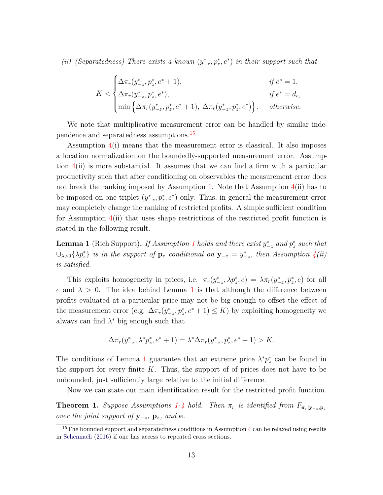*(ii) (Separatedness)* There exists a known  $(y^*_{-z}, p^*_z, e^*)$  in their support such that

$$
K < \begin{cases} \Delta \pi_r(y_{-z}^*, p_z^*, e^* + 1), & \text{if } e^* = 1, \\ \Delta \pi_r(y_{-z}^*, p_z^*, e^*), & \text{if } e^* = d_e, \\ \min \left\{ \Delta \pi_r(y_{-z}^*, p_z^*, e^* + 1), \Delta \pi_r(y_{-z}^*, p_z^*, e^*) \right\}, & \text{otherwise.} \end{cases}
$$

We note that multiplicative measurement error can be handled by similar independence and separatedness assumptions.[15](#page-14-0)

Assumption 4(i) means that the measurement error is classical. It also imposes a location normalization on the boundedly-supported measurement error. Assumption 4(ii) is more substantial. It assumes that we can find a firm with a particular productivity such that after conditioning on observables the measurement error does not break the ranking imposed by Assumption [1.](#page-10-1) Note that Assumption 4(ii) has to be imposed on one triplet  $(y^*_{-z}, p^*_z, e^*)$  only. Thus, in general the measurement error may completely change the ranking of restricted profits. A simple sufficient condition for Assumption  $4(ii)$  that uses shape restrictions of the restricted profit function is stated in the following result.

<span id="page-14-1"></span>**Lemma [1](#page-10-1)** (Rich Support). If Assumption 1 holds and there exist  $y_{-z}^*$  and  $p_z^*$  such that  $\cup$ <sub>λ>0</sub>{ $\lambda p_z^*$ } *is in the support of*  $\mathbf{p}_z$  *conditional on*  $\mathbf{y}_{-z} = y_{-z}^*$ *, then Assumption* 4(*ii*) *is satisfied.*

This exploits homogeneity in prices, i.e.  $\pi_r(y_{-z}^*, \lambda p_z^*, e) = \lambda \pi_r(y_{-z}^*, p_z^*, e)$  for all *e* and  $\lambda > 0$ . The idea behind Lemma [1](#page-14-1) is that although the difference between profits evaluated at a particular price may not be big enough to offset the effect of the measurement error (e.g.  $\Delta \pi_r(y^*_{-z}, p^*_z, e^* + 1) \leq K$ ) by exploiting homogeneity we always can find  $\lambda^*$  big enough such that

$$
\Delta \pi_r(y_{-z}^*, \lambda^* p_z^*, e^* + 1) = \lambda^* \Delta \pi_r(y_{-z}^*, p_z^*, e^* + 1) > K.
$$

The conditions of Lemma [1](#page-14-1) guarantee that an extreme price  $\lambda^* p^*_{z}$  can be found in the support for every finite *K*. Thus, the support of of prices does not have to be unbounded, just sufficiently large relative to the initial difference.

Now we can state our main identification result for the restricted profit function.

<span id="page-14-2"></span>**Theorem 1.** *Suppose Assumptions* [1-](#page-10-1)*4 hold.* Then  $\pi_r$  *is identified from*  $F_{\pi_r|y-z,\mathbf{p}_z}$ *over the joint support of*  $y_{-z}$ *,*  $p_z$ *, and* **e***.* 

<span id="page-14-0"></span><sup>&</sup>lt;sup>15</sup>The bounded support and separatedness conditions in Assumption  $4$  can be relaxed using results in [Schennach](#page-38-9) [\(2016](#page-38-9)) if one has access to repeated cross sections.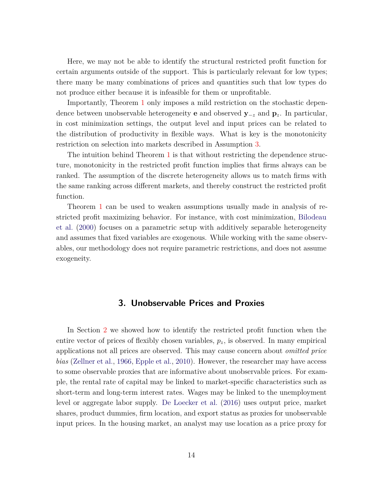Here, we may not be able to identify the structural restricted profit function for certain arguments outside of the support. This is particularly relevant for low types; there many be many combinations of prices and quantities such that low types do not produce either because it is infeasible for them or unprofitable.

Importantly, Theorem [1](#page-14-2) only imposes a mild restriction on the stochastic dependence between unobservable heterogeneity **e** and observed **y**−*<sup>z</sup>* and **p***z*. In particular, in cost minimization settings, the output level and input prices can be related to the distribution of productivity in flexible ways. What is key is the monotonicity restriction on selection into markets described in Assumption [3.](#page-12-1)

The intuition behind Theorem [1](#page-14-2) is that without restricting the dependence structure, monotonicity in the restricted profit function implies that firms always can be ranked. The assumption of the discrete heterogeneity allows us to match firms with the same ranking across different markets, and thereby construct the restricted profit function.

Theorem [1](#page-14-2) can be used to weaken assumptions usually made in analysis of restrict[ed profit maximizing behavior. For instance, with cost minimization,](#page-35-0) Bilodeau et al. [\(2000\)](#page-35-0) focuses on a parametric setup with additively separable heterogeneity and assumes that fixed variables are exogenous. While working with the same observables, our methodology does not require parametric restrictions, and does not assume exogeneity.

## **3. Unobservable Prices and Proxies**

<span id="page-15-0"></span>In Section [2](#page-9-0) we showed how to identify the restricted profit function when the entire vector of prices of flexibly chosen variables, *pz*, is observed. In many empirical applications not all prices are observed. This may cause concern about *omitted price bias* [\(Zellner et al.](#page-39-2), [1966](#page-39-2), [Epple et al.](#page-36-0), [2010](#page-36-0)). However, the researcher may have access to some observable proxies that are informative about unobservable prices. For example, the rental rate of capital may be linked to market-specific characteristics such as short-term and long-term interest rates. Wages may be linked to the unemployment level or aggregate labor supply. [De Loecker et al.](#page-36-7) [\(2016](#page-36-7)) uses output price, market shares, product dummies, firm location, and export status as proxies for unobservable input prices. In the housing market, an analyst may use location as a price proxy for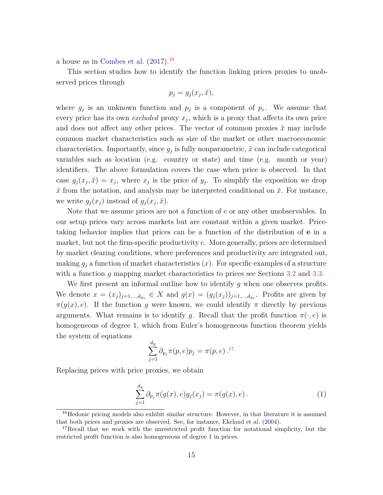a house as in [Combes et al.](#page-36-2)  $(2017).$  $(2017).$ <sup>[16](#page-16-0)</sup>

This section studies how to identify the function linking prices proxies to unobserved prices through

$$
p_j = g_j(x_j, \tilde{x}),
$$

where  $g_j$  is an unknown function and  $p_j$  is a component of  $p_z$ . We assume that every price has its own *excluded* proxy  $x_j$ , which is a proxy that affects its own price and does not affect any other prices. The vector of common proxies  $\tilde{x}$  may include common market characteristics such as size of the market or other macroeconomic characteristics. Importantly, since  $g_j$  is fully nonparametric,  $\tilde{x}$  can include categorical variables such as location (e.g. country or state) and time (e.g. month or year) identifiers. The above formulation covers the case when price is observed. In that case  $g_j(x_j, \tilde{x}) = x_j$ , where  $x_j$  is the price of  $y_j$ . To simplify the exposition we drop  $\tilde{x}$  from the notation, and analysis may be interpreted conditional on  $\tilde{x}$ . For instance, we write  $g_j(x_j)$  instead of  $g_j(x_j, \tilde{x})$ .

Note that we assume prices are not a function of *e* or any other unobservables. In our setup prices vary across markets but are constant within a given market. Pricetaking behavior implies that prices can be a function of the distribution of **e** in a market, but not the firm-specific productivity *e*. More generally, prices are determined by market clearing conditions, where preferences and productivity are integrated out, making  $g_j$  a function of market characteristics  $(x)$ . For specific examples of a structure with a function *g* mapping market characteristics to prices see Sections [3.2](#page-20-0) and [3.3.](#page-22-0)

We first present an informal outline how to identify *g* when one observes profits. We denote  $x = (x_j)_{j=1,\dots,d_{yz}} \in X$  and  $g(x) = (g_j(x_j))_{j=1,\dots,d_{yz}}$ . Profits are given by  $\pi(g(x), e)$ . If the function *g* were known, we could identify  $\pi$  directly by previous arguments. What remains is to identify *g*. Recall that the profit function  $\pi(\cdot, e)$  is homogeneous of degree 1, which from Euler's homogeneous function theorem yields the system of equations

$$
\sum_{j=1}^{d_y} \partial_{p_j} \pi(p, e) p_j = \pi(p, e) .^{17}
$$

Replacing prices with price proxies, we obtain

<span id="page-16-2"></span>
$$
\sum_{j=1}^{d_y} \partial_{p_j} \pi(g(x), e) g_j(x_j) = \pi(g(x), e).
$$
 (1)

<span id="page-16-0"></span><sup>&</sup>lt;sup>16</sup>Hedonic pricing models also exhibit similar structure. However, in that literature it is assumed that both prices and proxies are observed. See, for instance, [Ekeland et al.](#page-36-9) [\(2004](#page-36-9)).

<span id="page-16-1"></span><sup>&</sup>lt;sup>17</sup>Recall that we work with the unrestricted profit function for notational simplicity, but the restricted profit function is also homogeneous of degree 1 in prices.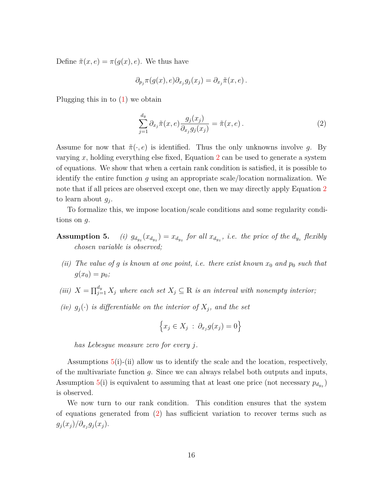Define  $\tilde{\pi}(x, e) = \pi(g(x), e)$ . We thus have

$$
\partial_{p_j} \pi(g(x), e) \partial_{x_j} g_j(x_j) = \partial_{x_j} \tilde{\pi}(x, e) .
$$

Plugging this in to [\(1\)](#page-16-2) we obtain

<span id="page-17-0"></span>
$$
\sum_{j=1}^{d_y} \partial_{x_j} \tilde{\pi}(x, e) \frac{g_j(x_j)}{\partial_{x_j} g_j(x_j)} = \tilde{\pi}(x, e).
$$
\n(2)

Assume for now that  $\tilde{\pi}(\cdot, e)$  is identified. Thus the only unknowns involve g. By varying *x*, holding everything else fixed, Equation [2](#page-17-0) can be used to generate a system of equations. We show that when a certain rank condition is satisfied, it is possible to identify the entire function *g* using an appropriate scale/location normalization. We note that if all prices are observed except one, then we may directly apply Equation [2](#page-17-0) to learn about *g<sup>j</sup>* .

To formalize this, we impose location/scale conditions and some regularity conditions on *g*.

- **Assumption 5.** *(i) g<sup>d</sup>yz*  $(x_{d_{yz}}) = x_{d_{yz}}$  for all  $x_{d_{yz}}$ , *i.e.* the price of the  $d_{y_z}$  flexibly *chosen variable is observed;*
	- *(ii)* The value of g is known at one point, i.e. there exist known  $x_0$  and  $p_0$  such that  $q(x_0) = p_0$ ;
- *(iii)*  $X = \prod_{j=1}^{d_y} X_j$  where each set  $X_j \subseteq \mathbb{R}$  is an interval with nonempty interior;
- *(iv)*  $g_j(\cdot)$  *is differentiable on the interior of*  $X_j$ *, and the set*

$$
\left\{x_j \in X_j \;:\; \partial_{x_j} g(x_j) = 0\right\}
$$

*has Lebesgue measure zero for every j.*

Assumptions 5(i)-(ii) allow us to identify the scale and the location, respectively, of the multivariate function *g*. Since we can always relabel both outputs and inputs, Assumption 5(i) is equivalent to assuming that at least one price (not necessary  $p_{d_{yz}}$ ) is observed.

We now turn to our rank condition. This condition ensures that the system of equations generated from [\(2\)](#page-17-0) has sufficient variation to recover terms such as  $g_j(x_j)/\partial_{x_j}g_j(x_j).$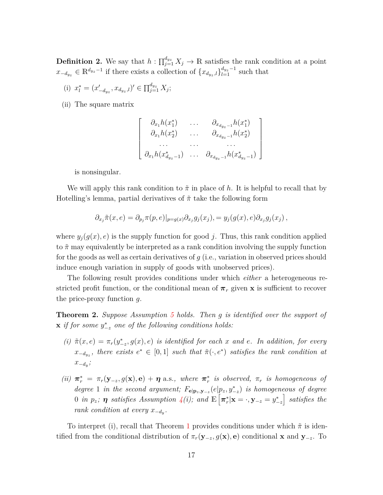**Definition 2.** We say that  $h: \prod_{j=1}^{d_{yz}} X_j \to \mathbb{R}$  satisfies the rank condition at a point  $x_{-d_{yz}} \in \mathbb{R}^{d_{yz}-1}$  if there exists a collection of  $\{x_{d_{yz},l}\}_{l=1}^{d_{yz}-1}$  such that

- (i)  $x_i^* = (x'_{-d_{yz}}, x_{d_{yz},l})' \in \prod_{j=1}^{d_{yz}} X_j;$
- (ii) The square matrix

$$
\begin{bmatrix}\n\partial_{x_1} h(x_1^*) & \dots & \partial_{x_{d_{y_z}-1}} h(x_1^*) \\
\partial_{x_1} h(x_2^*) & \dots & \partial_{x_{d_{y_z}-1}} h(x_2^*) \\
\vdots & \vdots & \ddots & \vdots \\
\partial_{x_1} h(x_{d_{y_z}-1}^*) & \dots & \partial_{x_{d_{y_z}-1}} h(x_{d_{y_z}-1}^*)\n\end{bmatrix}
$$

is nonsingular.

We will apply this rank condition to  $\tilde{\pi}$  in place of h. It is helpful to recall that by Hotelling's lemma, partial derivatives of  $\tilde{\pi}$  take the following form

$$
\partial_{x_j}\tilde{\pi}(x,e) = \partial_{p_j}\pi(p,e)|_{p=g(x)}\partial_{x_j}g_j(x_j), = y_j(g(x),e)\partial_{x_j}g_j(x_j),
$$

where  $y_j(g(x), e)$  is the supply function for good *j*. Thus, this rank condition applied to ˜*π* may equivalently be interpreted as a rank condition involving the supply function for the goods as well as certain derivatives of *g* (i.e., variation in observed prices should induce enough variation in supply of goods with unobserved prices).

The following result provides conditions under which *either* a heterogeneous restricted profit function, or the conditional mean of  $\pi_r$  given **x** is sufficient to recover the price-proxy function *g*.

<span id="page-18-0"></span>**Theorem 2.** *Suppose Assumption 5 holds. Then g is identified over the support of*  $\mathbf{x}$  *if for some*  $y^*_{-z}$  *one of the following conditions holds:* 

- $(i)$   $\tilde{\pi}(x, e) = \pi_r(y^*_{-z}, g(x), e)$  *is identified for each x and e. In addition, for every*  $x_{-d_{yz}}$ , there exists  $e^* \in [0,1]$  *such that*  $\tilde{\pi}(\cdot, e^*)$  *satisfies the rank condition at x*−*d<sup>y</sup> ;*
- (ii)  $\pi_r^* = \pi_r(\mathbf{y}_{-z}, g(\mathbf{x}), \mathbf{e}) + \eta$  a.s., where  $\pi_r^*$  is observed,  $\pi_r$  is homogeneous of *degree* 1 *in the second argument;*  $F_{\mathbf{e}|\mathbf{p}_z,\mathbf{y}_{-z}}(e|p_z,y_{-z}^*)$  *is homogeneous of degree* 0 *in*  $p_z$ ;  $\boldsymbol{\eta}$  satisfies Assumption  $4(i)$ ; and  $\mathbb{E}\left[\boldsymbol{\pi}_r^*|\mathbf{x}=\cdot,\mathbf{y}_{-z}=y^*_{-z}\right]$  satisfies the *rank condition at every*  $x_{-d_y}$ .

To interpret (i), recall that Theorem [1](#page-14-2) provides conditions under which ˜*π* is identified from the conditional distribution of  $\pi_r(\mathbf{y}_{-z}, g(\mathbf{x}), \mathbf{e})$  conditional **x** and  $\mathbf{y}_{-z}$ . To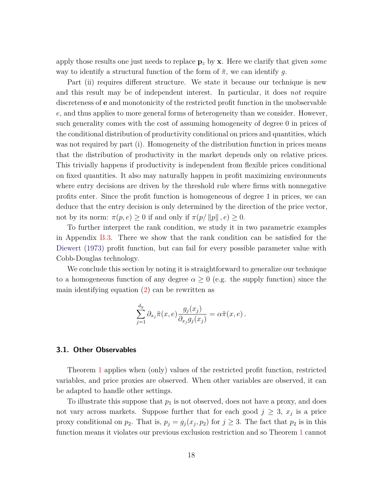apply those results one just needs to replace **p***<sup>z</sup>* by **x**. Here we clarify that given *some* way to identify a structural function of the form of ˜*π*, we can identify *g*.

Part (ii) requires different structure. We state it because our technique is new and this result may be of independent interest. In particular, it does *not* require discreteness of **e** and monotonicity of the restricted profit function in the unobservable *e*, and thus applies to more general forms of heterogeneity than we consider. However, such generality comes with the cost of assuming homogeneity of degree 0 in prices of the conditional distribution of productivity conditional on prices and quantities, which was not required by part (i). Homogeneity of the distribution function in prices means that the distribution of productivity in the market depends only on relative prices. This trivially happens if productivity is independent from flexible prices conditional on fixed quantities. It also may naturally happen in profit maximizing environments where entry decisions are driven by the threshold rule where firms with nonnegative profits enter. Since the profit function is homogeneous of degree 1 in prices, we can deduce that the entry decision is only determined by the direction of the price vector, not by its norm:  $\pi(p, e) \geq 0$  if and only if  $\pi(p/||p||, e) \geq 0$ .

To further interpret the rank condition, we study it in two parametric examples in Appendix [B.3.](#page-52-0) There we show that the rank condition can be satisfied for the [Diewert](#page-36-10) [\(1973](#page-36-10)) profit function, but can fail for every possible parameter value with Cobb-Douglas technology.

We conclude this section by noting it is straightforward to generalize our technique to a homogeneous function of any degree  $\alpha \geq 0$  (e.g. the supply function) since the main identifying equation [\(2\)](#page-17-0) can be rewritten as

$$
\sum_{j=1}^{d_y} \partial_{x_j} \tilde{\pi}(x, e) \frac{g_j(x_j)}{\partial_{x_j} g_j(x_j)} = \alpha \tilde{\pi}(x, e) .
$$

## <span id="page-19-0"></span>**3.1. Other Observables**

Theorem [1](#page-14-2) applies when (only) values of the restricted profit function, restricted variables, and price proxies are observed. When other variables are observed, it can be adapted to handle other settings.

To illustrate this suppose that  $p_1$  is not observed, does not have a proxy, and does not vary across markets. Suppose further that for each good  $j \geq 3$ ,  $x_j$  is a price proxy conditional on  $p_2$ . That is,  $p_j = g_j(x_j, p_2)$  for  $j \geq 3$ . The fact that  $p_2$  is in this function means it violates our previous exclusion restriction and so Theorem [1](#page-14-2) cannot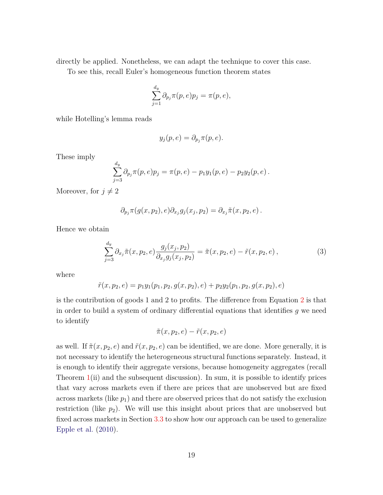directly be applied. Nonetheless, we can adapt the technique to cover this case.

To see this, recall Euler's homogeneous function theorem states

$$
\sum_{j=1}^{d_y} \partial_{p_j} \pi(p, e) p_j = \pi(p, e),
$$

while Hotelling's lemma reads

$$
y_j(p, e) = \partial_{p_j} \pi(p, e).
$$

These imply

$$
\sum_{j=3}^{d_y} \partial_{p_j} \pi(p,e) p_j = \pi(p,e) - p_1 y_1(p,e) - p_2 y_2(p,e).
$$

Moreover, for  $j \neq 2$ 

$$
\partial_{p_j}\pi(g(x,p_2),e)\partial_{x_j}g_j(x_j,p_2)=\partial_{x_j}\tilde{\pi}(x,p_2,e).
$$

Hence we obtain

$$
\sum_{j=3}^{d_y} \partial_{x_j} \tilde{\pi}(x, p_2, e) \frac{g_j(x_j, p_2)}{\partial_{x_j} g_j(x_j, p_2)} = \tilde{\pi}(x, p_2, e) - \tilde{r}(x, p_2, e) , \qquad (3)
$$

where

$$
\tilde{r}(x, p_2, e) = p_1 y_1(p_1, p_2, g(x, p_2), e) + p_2 y_2(p_1, p_2, g(x, p_2), e)
$$

is the contribution of goods 1 and 2 to profits. The difference from Equation [2](#page-17-0) is that in order to build a system of ordinary differential equations that identifies *g* we need to identify

<span id="page-20-1"></span>
$$
\tilde{\pi}(x, p_2, e) - \tilde{r}(x, p_2, e)
$$

<span id="page-20-0"></span>as well. If  $\tilde{\pi}(x, p_2, e)$  and  $\tilde{r}(x, p_2, e)$  can be identified, we are done. More generally, it is not necessary to identify the heterogeneous structural functions separately. Instead, it is enough to identify their aggregate versions, because homogeneity aggregates (recall Theorem  $1(i)$  $1(i)$  and the subsequent discussion). In sum, it is possible to identify prices that vary across markets even if there are prices that are unobserved but are fixed across markets (like  $p_1$ ) and there are observed prices that do not satisfy the exclusion restriction (like  $p_2$ ). We will use this insight about prices that are unobserved but fixed across markets in Section [3.3](#page-22-0) to show how our approach can be used to generalize [Epple et al.](#page-36-0) [\(2010](#page-36-0)).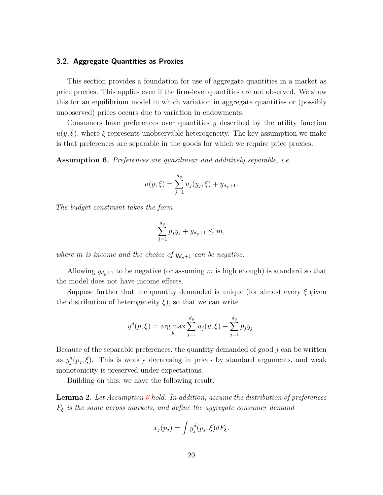### **3.2. Aggregate Quantities as Proxies**

This section provides a foundation for use of aggregate quantities in a market as price proxies. This applies even if the firm-level quantities are not observed. We show this for an equilibrium model in which variation in aggregate quantities or (possibly unobserved) prices occurs due to variation in endowments.

Consumers have preferences over quantities *y* described by the utility function  $u(y,\xi)$ , where  $\xi$  represents unobservable heterogeneity. The key assumption we make is that preferences are separable in the goods for which we require price proxies.

<span id="page-21-0"></span>**Assumption 6.** *Preferences are quasilinear and additively separable, i.e.*

$$
u(y,\xi) = \sum_{j=1}^{d_y} u_j(y_j,\xi) + y_{d_y+1}.
$$

*The budget constraint takes the form*

$$
\sum_{j=1}^{d_y} p_j y_j + y_{d_y+1} \leq m,
$$

*where m is income and the choice of*  $y_{d_y+1}$  *can be negative.* 

Allowing  $y_{d_y+1}$  to be negative (or assuming m is high enough) is standard so that the model does not have income effects.

Suppose further that the quantity demanded is unique (for almost every *ξ* given the distribution of heterogeneity  $\xi$ ), so that we can write

$$
y^d(p,\xi) = \arg \max_{y} \sum_{j=1}^{d_y} u_j(y,\xi) - \sum_{j=1}^{d_y} p_j y_j.
$$

Because of the separable preferences, the quantity demanded of good *j* can be written as  $y_j^d(p_j, \xi)$ . This is weakly decreasing in prices by standard arguments, and weak monotonicity is preserved under expectations.

Building on this, we have the following result.

**Lemma 2.** *Let Assumption [6](#page-21-0) hold. In addition, assume the distribution of preferences F<sup>ξ</sup> is the same across markets, and define the aggregate consumer demand*

$$
\overline{x}_j(p_j) = \int y_j^d(p_j, \xi) dF_{\xi}.
$$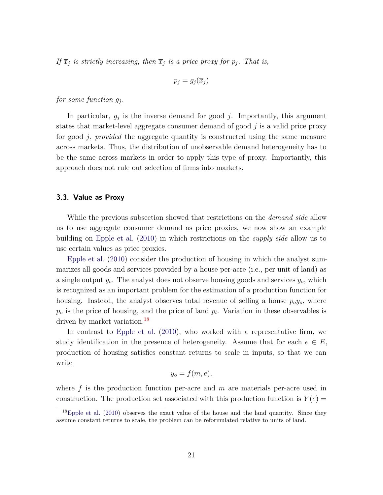*If*  $\overline{x}_i$  *is strictly increasing, then*  $\overline{x}_i$  *is a price proxy for*  $p_i$ *. That is,* 

$$
p_j = g_j(\overline{x}_j)
$$

*for some function*  $g_i$ .

In particular,  $g_j$  is the inverse demand for good  $j$ . Importantly, this argument states that market-level aggregate consumer demand of good *j* is a valid price proxy for good *j*, *provided* the aggregate quantity is constructed using the same measure across markets. Thus, the distribution of unobservable demand heterogeneity has to be the same across markets in order to apply this type of proxy. Importantly, this approach does not rule out selection of firms into markets.

### <span id="page-22-0"></span>**3.3. Value as Proxy**

While the previous subsection showed that restrictions on the *demand side* allow us to use aggregate consumer demand as price proxies, we now show an example building on [Epple et al.](#page-36-0) [\(2010\)](#page-36-0) in which restrictions on the *supply side* allow us to [use certain valu](#page-36-0)es as price proxies.

Epple et al. [\(2010](#page-36-0)) consider the production of housing in which the analyst summarizes all goods and services provided by a house per-acre (i.e., per unit of land) as a single output *yo*. The analyst does not observe housing goods and services *yo*, which is recognized as an important problem for the estimation of a production function for housing. Instead, the analyst observes total revenue of selling a house  $p_0y_0$ , where *p<sup>o</sup>* is the price of housing, and the price of land *p<sup>l</sup>* . Variation in these observables is driven by market variation.<sup>[18](#page-22-1)</sup>

In contrast to [Epple et al.](#page-36-0) [\(2010\)](#page-36-0), who worked with a representative firm, we study identification in the presence of heterogeneity. Assume that for each  $e \in E$ , production of housing satisfies constant returns to scale in inputs, so that we can write

$$
y_o = f(m, e),
$$

where *f* is the production function per-acre and *m* are materials per-acre used in construction. The production set associated with this production function is  $Y(e)$ 

<span id="page-22-1"></span> $^{18}$ [Epple et al.](#page-36-0) [\(2010\)](#page-36-0) observes the exact value of the house and the land quantity. Since they assume constant returns to scale, the problem can be reformulated relative to units of land.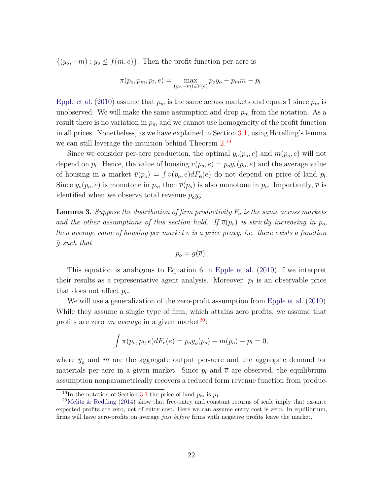$\{(y_o, -m) : y_o \le f(m, e)\}.$  Then the profit function per-acre is

$$
\pi(p_o, p_m, p_l, e) = \max_{(y_o, -m) \in Y(e)} p_o y_o - p_m m - p_l.
$$

[Epple et al.](#page-36-0) [\(2010\)](#page-36-0) assume that  $p_m$  is the same across markets and equals 1 since  $p_m$  is unobserved. We will make the same assumption and drop  $p_m$  from the notation. As a result there is no variation in *p<sup>m</sup>* and we cannot use homogeneity of the profit function in all prices. Nonetheless, as we have explained in Section [3.1,](#page-19-0) using Hotelling's lemma we can still leverage the intuition behind Theorem [2.](#page-18-0)<sup>[19](#page-23-0)</sup>

Since we consider per-acre production, the optimal  $y_o(p_o, e)$  and  $m(p_o, e)$  will not depend on  $p_l$ . Hence, the value of housing  $v(p_o, e) = p_o y_o(p_o, e)$  and the average value of housing in a market  $\overline{v}(p_o) = \int v(p_o, e) dF_e(e)$  do not depend on price of land  $p_l$ . Since  $y_o(p_o, e)$  is monotone in  $p_o$ , then  $\overline{v}(p_o)$  is also monotone in  $p_o$ . Importantly,  $\overline{v}$  is identified when we observe total revenue *poyo*.

**Lemma 3.** *Suppose the distribution of firm productivity F***<sup>e</sup>** *is the same across markets* and the other assumptions of this section hold. If  $\overline{v}(p_o)$  is strictly increasing in  $p_o$ , *then average value of housing per market*  $\overline{v}$  *is a price proxy, i.e. there exists a function g*˜ *such that*

$$
p_o = g(\overline{v}).
$$

This equation is analogous to Equation 6 in [Epple et al.](#page-36-0) [\(2010](#page-36-0)) if we interpret their results as a representative agent analysis. Moreover,  $p_l$  is an observable price that does not affect *po*.

We will use a generalization of the zero-profit assumption from [Epple et al.](#page-36-0)  $(2010)$  $(2010)$ . While they assume a single type of firm, which attains zero profits, we assume that profits are zero *on average* in a given market<sup>[20](#page-23-1)</sup>:

$$
\int \pi(p_o, p_l, e) dF_{\mathbf{e}}(e) = p_o \overline{y}_o(p_o) - \overline{m}(p_o) - p_l = 0,
$$

where  $\bar{y}_o$  and  $\bar{m}$  are the aggregate output per-acre and the aggregate demand for materials per-acre in a given market. Since  $p_l$  and  $\overline{v}$  are observed, the equilibrium assumption nonparametrically recovers a reduced form revenue function from produc-

<span id="page-23-0"></span><sup>&</sup>lt;sup>19</sup>In the notation of Section [3.1](#page-19-0) the price of land  $p_m$  is  $p_1$ .

<span id="page-23-1"></span><sup>&</sup>lt;sup>20</sup>[Melitz & Redding](#page-38-10) [\(2014\)](#page-38-10) show that free-entry and constant returns of scale imply that ex-ante expected profits are zero, net of entry cost. Here we can assume entry cost is zero. In equilibrium, firms will have zero-profits on average *just before* firms with negative profits leave the market.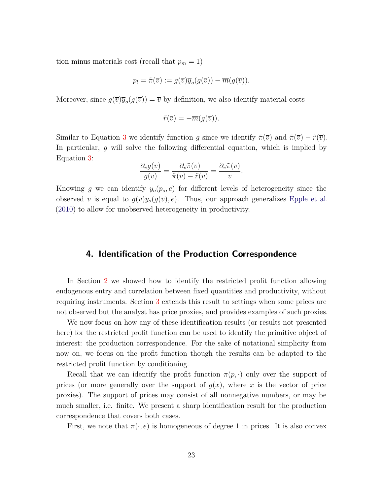tion minus materials cost (recall that  $p_m = 1$ )

$$
p_l = \tilde{\pi}(\overline{v}) := g(\overline{v})\overline{y}_o(g(\overline{v})) - \overline{m}(g(\overline{v})).
$$

Moreover, since  $g(\overline{v})\overline{y}_o(g(\overline{v})) = \overline{v}$  by definition, we also identify material costs

$$
\tilde{r}(\overline{v})=-\overline{m}(g(\overline{v})).
$$

Similar to Equation [3](#page-20-1) we identify function *g* since we identify  $\tilde{\pi}(\overline{v})$  and  $\tilde{\pi}(\overline{v}) - \tilde{r}(\overline{v})$ . In particular, *g* will solve the following differential equation, which is implied by Equation [3:](#page-20-1)

$$
\frac{\partial_{\overline{v}}g(\overline{v})}{g(\overline{v})} = \frac{\partial_{\overline{v}}\tilde{\pi}(\overline{v})}{\tilde{\pi}(\overline{v}) - \tilde{r}(\overline{v})} = \frac{\partial_{\overline{v}}\tilde{\pi}(\overline{v})}{\overline{v}}.
$$

Knowing *g* we can identify  $y_o(p_o, e)$  for different levels of heterogeneity since the observed *v* is equal to  $g(\overline{v})y_o(g(\overline{v}), e)$ . Thus, our approach generalizes [Epple et al.](#page-36-0) [\(2010\)](#page-36-0) to allow for unobserved heterogeneity in productivity.

## <span id="page-24-0"></span>**4. Identification of the Production Correspondence**

In Section [2](#page-9-0) we showed how to identify the restricted profit function allowing endogenous entry and correlation between fixed quantities and productivity, without requiring instruments. Section [3](#page-15-0) extends this result to settings when some prices are not observed but the analyst has price proxies, and provides examples of such proxies.

We now focus on how any of these identification results (or results not presented here) for the restricted profit function can be used to identify the primitive object of interest: the production correspondence. For the sake of notational simplicity from now on, we focus on the profit function though the results can be adapted to the restricted profit function by conditioning.

Recall that we can identify the profit function  $\pi(p, \cdot)$  only over the support of prices (or more generally over the support of  $g(x)$ , where x is the vector of price proxies). The support of prices may consist of all nonnegative numbers, or may be much smaller, i.e. finite. We present a sharp identification result for the production correspondence that covers both cases.

First, we note that  $\pi(\cdot, e)$  is homogeneous of degree 1 in prices. It is also convex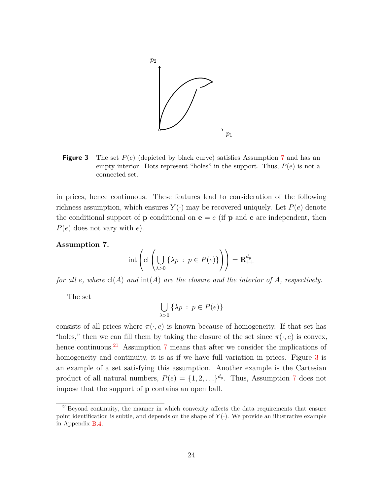<span id="page-25-2"></span>

**Figure 3** – The set  $P(e)$  (depicted by black curve) satisfies Assumption [7](#page-25-0) and has an empty interior. Dots represent "holes" in the support. Thus,  $P(e)$  is not a connected set.

in prices, hence continuous. These features lead to consideration of the following richness assumption, which ensures  $Y(\cdot)$  may be recovered uniquely. Let  $P(e)$  denote the conditional support of **p** conditional on  $e = e$  (if **p** and **e** are independent, then *P*(*e*) does not vary with *e*).

#### <span id="page-25-0"></span>**Assumption 7.**

$$
\mathrm{int}\left(\mathrm{cl}\left(\bigcup_{\lambda>0}\left\{\lambda p\ :\ p\in P(e)\right\}\right)\right)=\mathbb{R}^{d_y}_{++}
$$

*for all e, where* cl(*A*) *and* int(*A*) *are the closure and the interior of A, respectively.*

The set

$$
\bigcup_{\lambda>0} \{\lambda p \,:\, p \in P(e)\}
$$

consists of all prices where  $\pi(\cdot, e)$  is known because of homogeneity. If that set has "holes," then we can fill them by taking the closure of the set since  $\pi(\cdot, e)$  is convex, hence continuous.<sup>[21](#page-25-1)</sup> Assumption [7](#page-25-0) means that after we consider the implications of homogeneity and continuity, it is as if we have full variation in prices. Figure [3](#page-25-2) is an example of a set satisfying this assumption. Another example is the Cartesian product of all natural numbers,  $P(e) = \{1, 2, \ldots\}^{d_y}$ . Thus, Assumption [7](#page-25-0) does not impose that the support of **p** contains an open ball.

<span id="page-25-1"></span> $^{21}$ Beyond continuity, the manner in which convexity affects the data requirements that ensure point identification is subtle, and depends on the shape of  $Y(\cdot)$ . We provide an illustrative example in Appendix [B.4.](#page-53-0)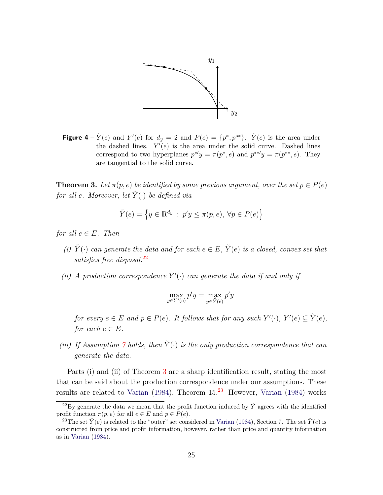<span id="page-26-3"></span>

**Figure 4** –  $\tilde{Y}(e)$  and  $Y'(e)$  for  $d_y = 2$  and  $P(e) = \{p^*, p^{**}\}. \quad \tilde{Y}(e)$  is the area under the dashed lines.  $Y'(e)$  is the area under the solid curve. Dashed lines correspond to two hyperplanes  $p^*y = \pi(p^*, e)$  and  $p^{**'}y = \pi(p^{**}, e)$ . They are tangential to the solid curve.

<span id="page-26-1"></span>**Theorem 3.** Let  $\pi(p,e)$  be identified by some previous argument, over the set  $p \in P(e)$ *for all e. Moreover, let*  $\tilde{Y}(\cdot)$  *be defined via* 

$$
\tilde{Y}(e) = \left\{ y \in \mathbb{R}^{d_y} : p'y \le \pi(p, e), \ \forall p \in P(e) \right\}
$$

*for all*  $e \in E$ *. Then* 

- *(i)*  $\tilde{Y}(\cdot)$  *can generate the data and for each*  $e \in E$ *,*  $\tilde{Y}(e)$  *is a closed, convex set that satisfies free disposal.*[22](#page-26-0)
- *(ii) A* production correspondence  $Y'(\cdot)$  can generate the data if and only if

$$
\max_{y \in Y'(e)} p'y = \max_{y \in \tilde{Y}(e)} p'y
$$

*for every*  $e \in E$  *and*  $p \in P(e)$ *. It follows that for any such*  $Y'(\cdot)$ *,*  $Y'(e) \subseteq \tilde{Y}(e)$ *, for each*  $e \in E$ *.* 

*(iii)* If Assumption  $\gamma$  holds, then  $\tilde{Y}(\cdot)$  *is the only production correspondence that can generate the data.*

Parts (i) and (ii) of Theorem [3](#page-26-1) are a sharp identification result, stating the most that can be said about the production correspondence under our assumptions. These results are related to [Varian](#page-39-0) [\(1984](#page-39-0)), Theorem  $15<sup>23</sup>$  $15<sup>23</sup>$  $15<sup>23</sup>$  However, Varian (1984) works

<sup>&</sup>lt;sup>22</sup>By generate the data we mean that the profit function induced by  $\tilde{Y}$  agrees with the identified profit function  $\pi(p, e)$  for all  $e \in E$  and  $p \in P(e)$ .

<span id="page-26-2"></span><span id="page-26-0"></span><sup>&</sup>lt;sup>23</sup>The set  $\tilde{Y}(e)$  is related to the "outer" set considered in [Varian](#page-39-0) [\(1984](#page-39-0)), Section 7. The set  $\tilde{Y}(e)$  is constructed from price and profit information, however, rather than price and quantity information as in [Varian](#page-39-0) [\(1984\)](#page-39-0).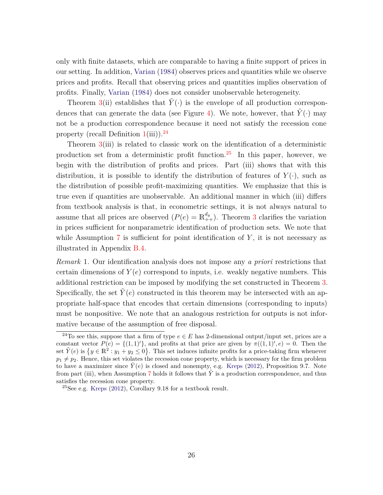only with finite datasets, which are comparable to having a finite support of prices in our setting. In addition, [Varian](#page-39-0) [\(1984](#page-39-0)) observes prices and quantities while we observe prices and profits. Recall that observing prices and quantities implies observation of profits. Finally, [Varian](#page-39-0) [\(1984\)](#page-39-0) does not consider unobservable heterogeneity.

Theorem [3\(](#page-26-1)ii) establishes that  $\tilde{Y}(\cdot)$  is the envelope of all production correspon-dences that can generate the data (see Figure [4\)](#page-26-3). We note, however, that  $\tilde{Y}(\cdot)$  may not be a production correspondence because it need not satisfy the recession cone property (recall Definition  $1(iii)$  $1(iii)$ ).<sup>[24](#page-27-0)</sup>

Theorem  $3(iii)$  $3(iii)$  is related to classic work on the identification of a deterministic production set from a deterministic profit function.<sup>[25](#page-27-1)</sup> In this paper, however, we begin with the distribution of profits and prices. Part (iii) shows that with this distribution, it is possible to identify the distribution of features of  $Y(\cdot)$ , such as the distribution of possible profit-maximizing quantities. We emphasize that this is true even if quantities are unobservable. An additional manner in which (iii) differs from textbook analysis is that, in econometric settings, it is not always natural to assume that all prices are observed  $(P(e) = \mathbb{R}_{++}^{d_y})$ . Theorem [3](#page-26-1) clarifies the variation in prices sufficient for nonparametric identification of production sets. We note that while Assumption [7](#page-25-0) is sufficient for point identification of Y, it is not necessary as illustrated in Appendix [B.4.](#page-53-0)

<span id="page-27-2"></span>*Remark* 1*.* Our identification analysis does not impose any *a priori* restrictions that certain dimensions of  $Y(e)$  correspond to inputs, i.e. weakly negative numbers. This additional restriction can be imposed by modifying the set constructed in Theorem [3.](#page-26-1) Specifically, the set  $Y(e)$  constructed in this theorem may be intersected with an appropriate half-space that encodes that certain dimensions (corresponding to inputs) must be nonpositive. We note that an analogous restriction for outputs is not informative because of the assumption of free disposal.

<span id="page-27-0"></span><sup>&</sup>lt;sup>24</sup>To see this, suppose that a firm of type  $e \in E$  has 2-dimensional output/input set, prices are a constant vector  $P(e) = \{(1, 1)'\}$ , and profits at that price are given by  $\pi((1, 1)', e) = 0$ . Then the set  $\tilde{Y}(e)$  is  $\{y \in \mathbb{R}^2 : y_1 + y_2 \le 0\}$ . This set induces infinite profits for a price-taking firm whenever  $p_1 \neq p_2$ . Hence, this set violates the recession cone property, which is necessary for the firm problem to have a maximizer since  $Y(e)$  is closed and nonempty, e.g. [Kreps](#page-38-6) [\(2012](#page-38-6)), Proposition 9.7. Note from part (iii), when Assumption [7](#page-25-0) holds it follows that *Y*˜ is a production correspondence, and thus satisfies the recession cone property.

<span id="page-27-1"></span> $25$ See e.g. [Kreps](#page-38-6) [\(2012\)](#page-38-6), Corollary 9.18 for a textbook result.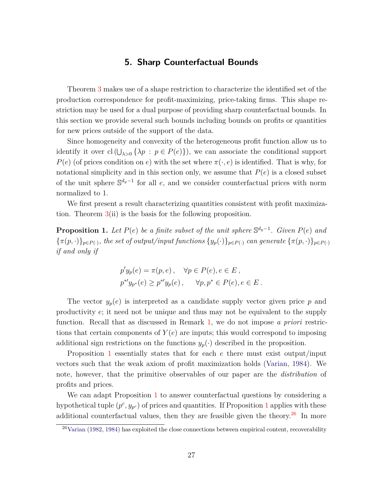## **5. Sharp Counterfactual Bounds**

<span id="page-28-0"></span>Theorem [3](#page-26-1) makes use of a shape restriction to characterize the identified set of the production correspondence for profit-maximizing, price-taking firms. This shape restriction may be used for a dual purpose of providing sharp counterfactual bounds. In this section we provide several such bounds including bounds on profits or quantities for new prices outside of the support of the data.

Since homogeneity and convexity of the heterogeneous profit function allow us to identify it over  $cl(U_{\lambda>0} \{\lambda p : p \in P(e)\})$ , we can associate the conditional support *P*(*e*) (of prices condition on *e*) with the set where  $\pi(\cdot, e)$  is identified. That is why, for notational simplicity and in this section only, we assume that  $P(e)$  is a closed subset of the unit sphere S *dy*−1 for all *e*, and we consider counterfactual prices with norm normalized to 1.

We first present a result characterizing quantities consistent with profit maximization. Theorem [3\(](#page-26-1)ii) is the basis for the following proposition.

<span id="page-28-1"></span>**Proposition 1.** Let  $P(e)$  be a finite subset of the unit sphere  $\mathbb{S}^{d_y-1}$ . Given  $P(e)$  and  ${\{\pi(p, \cdot)\}_{p \in P(\cdot)}$ , the set of output/input functions  ${\{y_p(\cdot)\}_{p \in P(\cdot)}$  can generate  ${\{\pi(p, \cdot)\}_{p \in P(\cdot)}$ *if and only if*

$$
p'y_p(e) = \pi(p, e), \quad \forall p \in P(e), e \in E,
$$
  

$$
p^{*'}y_{p^*}(e) \ge p^{*'}y_p(e), \quad \forall p, p^* \in P(e), e \in E.
$$

The vector  $y_p(e)$  is interpreted as a candidate supply vector given price p and productivity *e*; it need not be unique and thus may not be equivalent to the supply function. Recall that as discussed in Remark [1,](#page-27-2) we do not impose *a priori* restrictions that certain components of  $Y(e)$  are inputs; this would correspond to imposing additional sign restrictions on the functions  $y_p(\cdot)$  described in the proposition.

Proposition [1](#page-28-1) essentially states that for each *e* there must exist output/input vectors such that the weak axiom of profit maximization holds [\(Varian](#page-39-0), [1984\)](#page-39-0). We note, however, that the primitive observables of our paper are the *distribution* of profits and prices.

We can adapt Proposition [1](#page-28-1) to answer counterfactual questions by considering a hypothetical tuple  $(p^c, y_{p^c})$  of prices and quantities. If Proposition [1](#page-28-1) applies with these additional counterfactual values, then they are feasible given the theory.<sup>[26](#page-28-2)</sup> In more

<span id="page-28-2"></span> $26$ [Varian](#page-38-11) [\(1982](#page-38-11), [1984](#page-39-0)) has exploited the close connections between empirical content, recoverability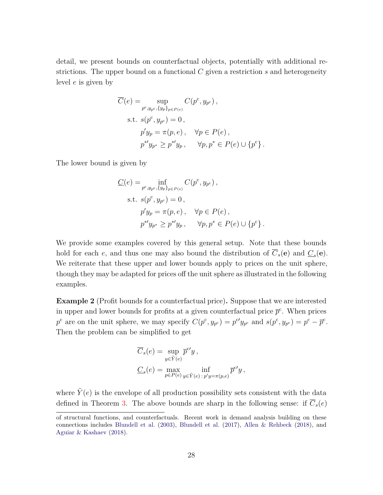detail, we present bounds on counterfactual objects, potentially with additional restrictions. The upper bound on a functional *C* given a restriction *s* and heterogeneity level *e* is given by

$$
\overline{C}(e) = \sup_{p^c, y_{p^c}, \{y_p\}_{p \in P(e)}} C(p^c, y_{p^c}),
$$
  
s.t.  $s(p^c, y_{p^c}) = 0$ ,  
 $p'y_p = \pi(p, e)$ ,  $\forall p \in P(e)$ ,  
 $p^{*'}y_{p^*} \ge p^{*'}y_p$ ,  $\forall p, p^* \in P(e) \cup \{p^c\}$ .

The lower bound is given by

$$
\underline{C}(e) = \inf_{p^c, y_{p^c}, \{y_p\}_{p \in P(e)}} C(p^c, y_{p^c}),
$$
  
s.t.  $s(p^c, y_{p^c}) = 0$ ,  
 $p'y_p = \pi(p, e)$ ,  $\forall p \in P(e)$ ,  
 $p^{*'}y_{p^*} \geq p^{*'}y_p$ ,  $\forall p, p^* \in P(e) \cup \{p^c\}$ .

We provide some examples covered by this general setup. Note that these bounds hold for each *e*, and thus one may also bound the distribution of  $\overline{C}_s(\mathbf{e})$  and  $\underline{C}_s(\mathbf{e})$ . We reiterate that these upper and lower bounds apply to prices on the unit sphere, though they may be adapted for prices off the unit sphere as illustrated in the following examples.

**Example 2** (Profit bounds for a counterfactual price)**.** Suppose that we are interested in upper and lower bounds for profits at a given counterfactual price  $\bar{p}^c$ . When prices  $p^c$  are on the unit sphere, we may specify  $C(p^c, y_{p^c}) = p^{c'}y_{p^c}$  and  $s(p^c, y_{p^c}) = p^c - \overline{p}^c$ . Then the problem can be simplified to get

$$
\overline{C}_s(e) = \sup_{y \in \tilde{Y}(e)} \overline{p}^{c'} y ,
$$
  

$$
\underline{C}_s(e) = \max_{p \in P(e)} \inf_{y \in \tilde{Y}(e) : p'y = \pi(p,e)} \overline{p}^{c'} y ,
$$

where  $\tilde{Y}(e)$  is the envelope of all production possibility sets consistent with the data defined in Theorem [3.](#page-26-1) The above bounds are sharp in the following sense: if  $\overline{C}_s(e)$ 

of structural functions, and counterfactuals. Recent work in demand analysis building on these connections includes [Blundell et al.](#page-35-9) [\(2003](#page-35-9)), [Blundell et al.](#page-35-10) [\(2017](#page-35-10)), [Allen & Rehbeck](#page-34-2) [\(2018\)](#page-34-2), and [Aguiar & Kashaev](#page-34-6) [\(2018\)](#page-34-6).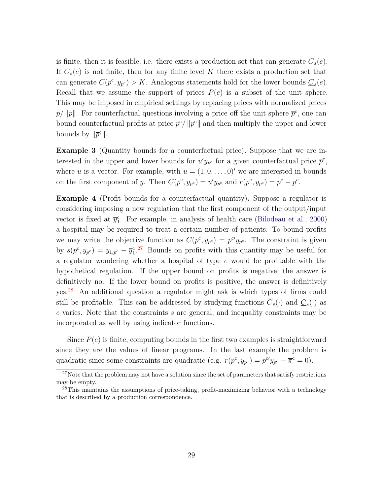is finite, then it is feasible, i.e. there exists a production set that can generate  $\overline{C}_s(e)$ . If  $\overline{C}_s(e)$  is not finite, then for any finite level K there exists a production set that can generate  $C(p^c, y_{p^c}) > K$ . Analogous statements hold for the lower bounds  $C_s(e)$ . Recall that we assume the support of prices  $P(e)$  is a subset of the unit sphere. This may be imposed in empirical settings by replacing prices with normalized prices  $p/||p||$ . For counterfactual questions involving a price off the unit sphere  $\bar{p}^c$ , one can bound counterfactual profits at price  $\bar{p}^c / ||\bar{p}^c||$  and then multiply the upper and lower bounds by  $\|\overline{p}^c\|.$ 

**Example 3** (Quantity bounds for a counterfactual price)**.** Suppose that we are interested in the upper and lower bounds for  $u'y_{p^c}$  for a given counterfactual price  $\bar{p}^c$ , where *u* is a vector. For example, with  $u = (1, 0, \ldots, 0)'$  we are interested in bounds on the first component of *y*. Then  $C(p^c, y_{p^c}) = u'y_{p^c}$  and  $r(p^c, y_{p^c}) = p^c - \overline{p}^c$ .

**Example 4** (Profit bounds for a counterfactual quantity)**.** Suppose a regulator is considering imposing a new regulation that the first component of the output/input vector is fixed at  $\bar{y}_1^c$ . For example, in analysis of health care [\(Bilodeau et al.,](#page-35-0) [2000\)](#page-35-0) a hospital may be required to treat a certain number of patients. To bound profits we may write the objective function as  $C(p^c, y_{p^c}) = p^{c'}y_{p^c}$ . The constraint is given by  $s(p^c, y_{p^c}) = y_{1,p^c} - \overline{y}_1^c$ . Bounds on profits with this quantity may be useful for a regulator wondering whether a hospital of type *e* would be profitable with the hypothetical regulation. If the upper bound on profits is negative, the answer is definitively no. If the lower bound on profits is positive, the answer is definitively yes.[28](#page-30-1) An additional question a regulator might ask is which types of firms could still be profitable. This can be addressed by studying functions  $C_s(\cdot)$  and  $\underline{C}_s(\cdot)$  as *e* varies. Note that the constraints *s* are general, and inequality constraints may be incorporated as well by using indicator functions.

Since  $P(e)$  is finite, computing bounds in the first two examples is straightforward since they are the values of linear programs. In the last example the problem is quadratic since some constraints are quadratic (e.g.  $r(p^c, y_{p^c}) = p^{c'}y_{p^c} - \overline{\pi}^c = 0$ ).

<span id="page-30-0"></span> $27$ Note that the problem may not have a solution since the set of parameters that satisfy restrictions may be empty.

<span id="page-30-1"></span><sup>&</sup>lt;sup>28</sup>This maintains the assumptions of price-taking, profit-maximizing behavior with a technology that is described by a production correspondence.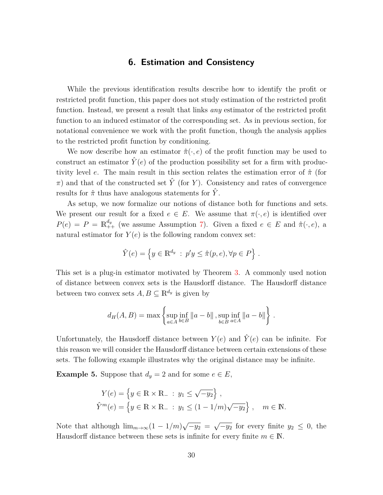## **6. Estimation and Consistency**

<span id="page-31-0"></span>While the previous identification results describe how to identify the profit or restricted profit function, this paper does not study estimation of the restricted profit function. Instead, we present a result that links *any* estimator of the restricted profit function to an induced estimator of the corresponding set. As in previous section, for notational convenience we work with the profit function, though the analysis applies to the restricted profit function by conditioning.

We now describe how an estimator  $\hat{\pi}(\cdot, e)$  of the profit function may be used to construct an estimator  $\hat{Y}(e)$  of the production possibility set for a firm with productivity level *e*. The main result in this section relates the estimation error of *π*ˆ (for  $\pi$ ) and that of the constructed set  $\hat{Y}$  (for *Y*). Consistency and rates of convergence results for  $\hat{\pi}$  thus have analogous statements for  $\hat{Y}$ .

As setup, we now formalize our notions of distance both for functions and sets. We present our result for a fixed  $e \in E$ . We assume that  $\pi(\cdot, e)$  is identified over  $P(e) = P = \mathbb{R}_{++}^{d_y}$  (we assume Assumption [7\)](#page-25-0). Given a fixed  $e \in E$  and  $\hat{\pi}(\cdot, e)$ , a natural estimator for  $Y(e)$  is the following random convex set:

$$
\hat{Y}(e) = \left\{ y \in \mathbb{R}^{d_y} : p'y \leq \hat{\pi}(p, e), \forall p \in P \right\}.
$$

This set is a plug-in estimator motivated by Theorem [3.](#page-26-1) A commonly used notion of distance between convex sets is the Hausdorff distance. The Hausdorff distance between two convex sets  $A, B \subseteq \mathbb{R}^{d_y}$  is given by

$$
d_H(A, B) = \max \left\{ \sup_{a \in A} \inf_{b \in B} ||a - b||, \sup_{b \in B} \inf_{a \in A} ||a - b|| \right\}.
$$

Unfortunately, the Hausdorff distance between  $Y(e)$  and  $\hat{Y}(e)$  can be infinite. For this reason we will consider the Hausdorff distance between certain extensions of these sets. The following example illustrates why the original distance may be infinite.

<span id="page-31-1"></span>**Example 5.** Suppose that  $d_y = 2$  and for some  $e \in E$ ,

$$
Y(e) = \{ y \in \mathbb{R} \times \mathbb{R}_{-} : y_1 \le \sqrt{-y_2} \},\
$$
  

$$
\hat{Y}^m(e) = \{ y \in \mathbb{R} \times \mathbb{R}_{-} : y_1 \le (1 - 1/m)\sqrt{-y_2} \}, \quad m \in \mathbb{N}.
$$

Note that although  $\lim_{m\to\infty}(1-1/m)\sqrt{-y_2} = \sqrt{-y_2}$  for every finite  $y_2 \leq 0$ , the Hausdorff distance between these sets is infinite for every finite  $m \in \mathbb{N}$ .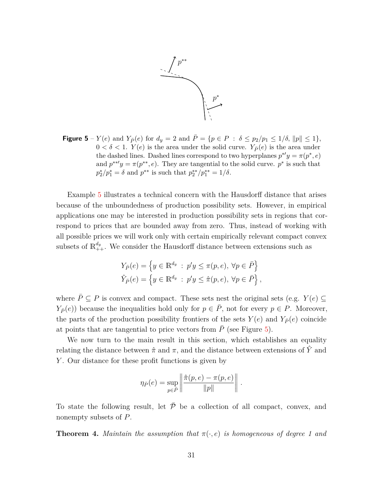

<span id="page-32-0"></span>**Figure 5** – *Y*(*e*) and *Y*<sub>*P*</sub>(*e*) for  $d_y = 2$  and  $\bar{P} = \{p \in P : \delta \leq p_2/p_1 \leq 1/\delta, ||p|| \leq 1\},\$  $0 < \delta < 1$ . *Y*(*e*) is the area under the solid curve. *Y*<sub>*P*</sub>(*e*) is the area under the dashed lines. Dashed lines correspond to two hyperplanes  $p^*′y = \pi (p^*, e)$ and  $p^{**'}y = \pi(p^{**}, e)$ . They are tangential to the solid curve.  $p^*$  is such that  $p_2^*/p_1^* = \delta$  and  $p^{**}$  is such that  $p_2^{**}/p_1^{**} = 1/\delta$ .

Example [5](#page-31-1) illustrates a technical concern with the Hausdorff distance that arises because of the unboundedness of production possibility sets. However, in empirical applications one may be interested in production possibility sets in regions that correspond to prices that are bounded away from zero. Thus, instead of working with all possible prices we will work only with certain empirically relevant compact convex subsets of  $\mathbb{R}^{d_y}_{++}$ . We consider the Hausdorff distance between extensions such as

$$
Y_{\bar{P}}(e) = \left\{ y \in \mathbb{R}^{d_y} : p'y \le \pi(p, e), \forall p \in \bar{P} \right\}
$$
  

$$
\hat{Y}_{\bar{P}}(e) = \left\{ y \in \mathbb{R}^{d_y} : p'y \le \hat{\pi}(p, e), \forall p \in \bar{P} \right\},\
$$

where  $\bar{P} \subseteq P$  is convex and compact. These sets nest the original sets (e.g. *Y*(*e*) ⊆ *Y*<sub>*P*</sub></sub> $(e)$ ) because the inequalities hold only for  $p \in \overline{P}$ , not for every  $p \in P$ . Moreover, the parts of the production possibility frontiers of the sets  $Y(e)$  and  $Y_{\bar{P}}(e)$  coincide at points that are tangential to price vectors from  $\overline{P}$  (see Figure [5\)](#page-32-0).

We now turn to the main result in this section, which establishes an equality relating the distance between  $\hat{\pi}$  and  $\pi$ , and the distance between extensions of  $\hat{Y}$  and *Y* . Our distance for these profit functions is given by

$$
\eta_{\bar{P}}(e) = \sup_{p \in \bar{P}} \left\| \frac{\hat{\pi}(p, e) - \pi(p, e)}{\|p\|} \right\|.
$$

To state the following result, let  $\overline{P}$  be a collection of all compact, convex, and nonempty subsets of *P*.

<span id="page-32-1"></span>**Theorem 4.** *Maintain the assumption that*  $\pi(\cdot, e)$  *is homogeneous of degree 1 and*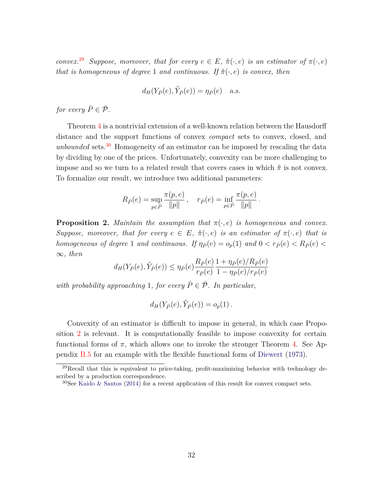*convex.*<sup>[29](#page-33-0)</sup> *Suppose, moreover, that for every*  $e \in E$ *,*  $\hat{\pi}(\cdot, e)$  *is an estimator of*  $\pi(\cdot, e)$ *that is homogeneous of degree* 1 *and continuous. If*  $\hat{\pi}(\cdot, e)$  *is convex, then* 

$$
d_H(Y_{\bar{P}}(e), \hat{Y}_{\bar{P}}(e)) = \eta_{\bar{P}}(e) \quad \text{a.s.}
$$

*for every*  $\overline{P} \in \overline{\mathcal{P}}$ *.* 

Theorem [4](#page-32-1) is a nontrivial extension of a well-known relation between the Hausdorff distance and the support functions of convex *compact* sets to convex, closed, and *unbounded* sets.[30](#page-33-1) Homogeneity of an estimator can be imposed by rescaling the data by dividing by one of the prices. Unfortunately, convexity can be more challenging to impose and so we turn to a related result that covers cases in which  $\hat{\pi}$  is not convex. To formalize our result, we introduce two additional parameters:

$$
R_{\bar{P}}(e) = \sup_{p \in \bar{P}} \frac{\pi(p, e)}{\|p\|}, \quad r_{\bar{P}}(e) = \inf_{p \in \bar{P}} \frac{\pi(p, e)}{\|p\|}.
$$

<span id="page-33-2"></span>**Proposition 2.** *Maintain the assumption that*  $\pi(\cdot, e)$  *is homogeneous and convex. Suppose, moreover, that for every*  $e \in E$ ,  $\hat{\pi}(\cdot, e)$  *is an estimator of*  $\pi(\cdot, e)$  *that is homogeneous of degree* 1 *and continuous. If*  $\eta_{\bar{P}}(e) = o_p(1)$  *and*  $0 < r_{\bar{P}}(e) < R_{\bar{P}}(e)$ ∞*, then*

$$
d_H(Y_{\bar{P}}(e), \hat{Y}_{\bar{P}}(e)) \le \eta_{\bar{P}}(e) \frac{R_{\bar{P}}(e)}{r_{\bar{P}}(e)} \frac{1 + \eta_{\bar{P}}(e)/R_{\bar{P}}(e)}{1 - \eta_{\bar{P}}(e)/r_{\bar{P}}(e)}
$$

*with probability approaching* 1*, for every*  $\overline{P} \in \overline{P}$ *. In particular,* 

$$
d_H(Y_{\bar{P}}(e), \hat{Y}_{\bar{P}}(e)) = o_p(1) .
$$

Convexity of an estimator is difficult to impose in general, in which case Proposition [2](#page-33-2) is relevant. It is computationally feasible to impose convexity for certain functional forms of  $\pi$ , which allows one to invoke the stronger Theorem [4.](#page-32-1) See Appendix [B.5](#page-54-0) for an example with the flexible functional form of [Diewert](#page-36-10) [\(1973](#page-36-10)).

 $^{29}$ Recall that this is equivalent to price-taking, profit-maximizing behavior with technology described by a production correspondence.

<span id="page-33-1"></span><span id="page-33-0"></span> $30$ See [Kaido & Santos](#page-37-7) [\(2014\)](#page-37-7) for a recent application of this result for convex compact sets.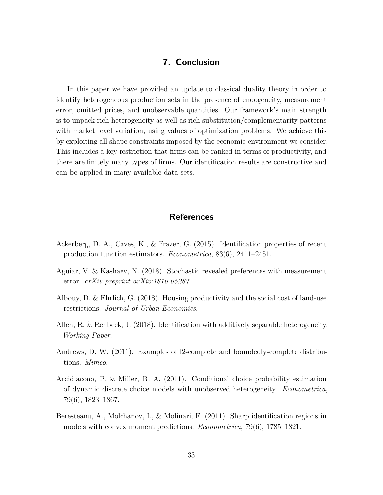## **7. Conclusion**

<span id="page-34-4"></span>In this paper we have provided an update to classical duality theory in order to identify heterogeneous production sets in the presence of endogeneity, measurement error, omitted prices, and unobservable quantities. Our framework's main strength is to unpack rich heterogeneity as well as rich substitution/complementarity patterns with market level variation, using values of optimization problems. We achieve this by exploiting all shape constraints imposed by the economic environment we consider. This includes a key restriction that firms can be ranked in terms of productivity, and there are finitely many types of firms. Our identification results are constructive and can be applied in many available data sets.

## **References**

- <span id="page-34-1"></span>Ackerberg, D. A., Caves, K., & Frazer, G. (2015). Identification properties of recent production function estimators. *Econometrica*, 83(6), 2411–2451.
- <span id="page-34-6"></span>Aguiar, V. & Kashaev, N. (2018). Stochastic revealed preferences with measurement error. *arXiv preprint arXiv:1810.05287*.
- <span id="page-34-0"></span>Albouy, D. & Ehrlich, G. (2018). Housing productivity and the social cost of land-use restrictions. *Journal of Urban Economics*.
- <span id="page-34-2"></span>Allen, R. & Rehbeck, J. (2018). Identification with additively separable heterogeneity. *Working Paper*.
- <span id="page-34-7"></span>Andrews, D. W. (2011). Examples of l2-complete and boundedly-complete distributions. *Mimeo*.
- <span id="page-34-5"></span>Arcidiacono, P. & Miller, R. A. (2011). Conditional choice probability estimation of dynamic discrete choice models with unobserved heterogeneity. *Econometrica*, 79(6), 1823–1867.
- <span id="page-34-3"></span>Beresteanu, A., Molchanov, I., & Molinari, F. (2011). Sharp identification regions in models with convex moment predictions. *Econometrica*, 79(6), 1785–1821.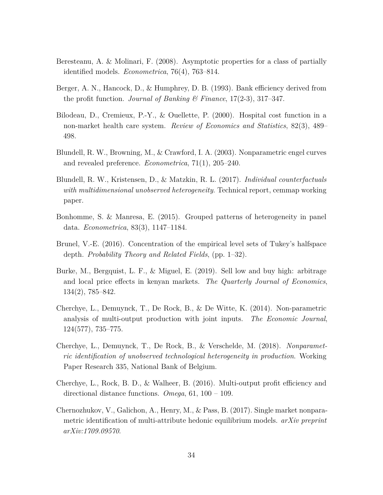- <span id="page-35-7"></span>Beresteanu, A. & Molinari, F. (2008). Asymptotic properties for a class of partially identified models. *Econometrica*, 76(4), 763–814.
- <span id="page-35-1"></span>Berger, A. N., Hancock, D., & Humphrey, D. B. (1993). Bank efficiency derived from the profit function. *Journal of Banking & Finance*, 17(2-3), 317–347.
- <span id="page-35-0"></span>Bilodeau, D., Cremieux, P.-Y., & Ouellette, P. (2000). Hospital cost function in a non-market health care system. *Review of Economics and Statistics*, 82(3), 489– 498.
- <span id="page-35-9"></span>Blundell, R. W., Browning, M., & Crawford, I. A. (2003). Nonparametric engel curves and revealed preference. *Econometrica*, 71(1), 205–240.
- <span id="page-35-10"></span>Blundell, R. W., Kristensen, D., & Matzkin, R. L. (2017). *Individual counterfactuals with multidimensional unobserved heterogeneity*. Technical report, cemmap working paper.
- <span id="page-35-8"></span>Bonhomme, S. & Manresa, E. (2015). Grouped patterns of heterogeneity in panel data. *Econometrica*, 83(3), 1147–1184.
- <span id="page-35-11"></span>Brunel, V.-E. (2016). Concentration of the empirical level sets of Tukey's halfspace depth. *Probability Theory and Related Fields*, (pp. 1–32).
- <span id="page-35-2"></span>Burke, M., Bergquist, L. F., & Miguel, E. (2019). Sell low and buy high: arbitrage and local price effects in kenyan markets. *The Quarterly Journal of Economics*, 134(2), 785–842.
- <span id="page-35-5"></span>Cherchye, L., Demuynck, T., De Rock, B., & De Witte, K. (2014). Non-parametric analysis of multi-output production with joint inputs. *The Economic Journal*, 124(577), 735–775.
- <span id="page-35-6"></span>Cherchye, L., Demuynck, T., De Rock, B., & Verschelde, M. (2018). *Nonparametric identification of unobserved technological heterogeneity in production*. Working Paper Research 335, National Bank of Belgium.
- <span id="page-35-4"></span>Cherchye, L., Rock, B. D., & Walheer, B. (2016). Multi-output profit efficiency and directional distance functions. *Omega*, 61, 100 – 109.
- <span id="page-35-3"></span>Chernozhukov, V., Galichon, A., Henry, M., & Pass, B. (2017). Single market nonparametric identification of multi-attribute hedonic equilibrium models. *arXiv preprint arXiv:1709.09570*.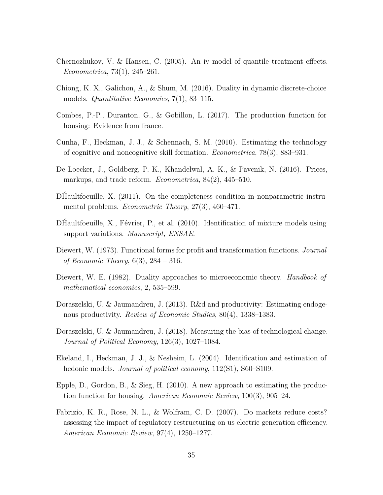- <span id="page-36-11"></span>Chernozhukov, V. & Hansen, C. (2005). An iv model of quantile treatment effects. *Econometrica*, 73(1), 245–261.
- <span id="page-36-5"></span>Chiong, K. X., Galichon, A., & Shum, M. (2016). Duality in dynamic discrete-choice models. *Quantitative Economics*, 7(1), 83–115.
- <span id="page-36-2"></span>Combes, P.-P., Duranton, G., & Gobillon, L. (2017). The production function for housing: Evidence from france.
- <span id="page-36-6"></span>Cunha, F., Heckman, J. J., & Schennach, S. M. (2010). Estimating the technology of cognitive and noncognitive skill formation. *Econometrica*, 78(3), 883–931.
- <span id="page-36-7"></span>De Loecker, J., Goldberg, P. K., Khandelwal, A. K., & Pavcnik, N. (2016). Prices, markups, and trade reform. *Econometrica*, 84(2), 445–510.
- <span id="page-36-13"></span>DHaultfoeuille, X.  $(2011)$ . On the completeness condition in nonparametric instrumental problems. *Econometric Theory*, 27(3), 460–471.
- <span id="page-36-12"></span>DHaultfoeuille,  $X_{\cdot}$ , Février, P., et al.  $(2010)$ . Identification of mixture models using support variations. *Manuscript, ENSAE*.
- <span id="page-36-10"></span>Diewert, W. (1973). Functional forms for profit and transformation functions. *Journal of Economic Theory*, 6(3), 284 – 316.
- <span id="page-36-1"></span>Diewert, W. E. (1982). Duality approaches to microeconomic theory. *Handbook of mathematical economics*, 2, 535–599.
- <span id="page-36-4"></span>Doraszelski, U. & Jaumandreu, J. (2013). R&d and productivity: Estimating endogenous productivity. *Review of Economic Studies*, 80(4), 1338–1383.
- <span id="page-36-8"></span>Doraszelski, U. & Jaumandreu, J. (2018). Measuring the bias of technological change. *Journal of Political Economy*, 126(3), 1027–1084.
- <span id="page-36-9"></span>Ekeland, I., Heckman, J. J., & Nesheim, L. (2004). Identification and estimation of hedonic models. *Journal of political economy*, 112(S1), S60–S109.
- <span id="page-36-0"></span>Epple, D., Gordon, B., & Sieg, H.  $(2010)$ . A new approach to estimating the production function for housing. *American Economic Review*, 100(3), 905–24.
- <span id="page-36-3"></span>Fabrizio, K. R., Rose, N. L., & Wolfram, C. D. (2007). Do markets reduce costs? assessing the impact of regulatory restructuring on us electric generation efficiency. *American Economic Review*, 97(4), 1250–1277.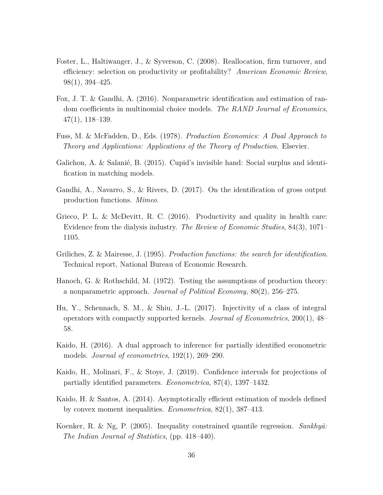- <span id="page-37-1"></span>Foster, L., Haltiwanger, J., & Syverson, C. (2008). Reallocation, firm turnover, and efficiency: selection on productivity or profitability? *American Economic Review*, 98(1), 394–425.
- <span id="page-37-10"></span>Fox, J. T. & Gandhi, A. (2016). Nonparametric identification and estimation of random coefficients in multinomial choice models. *The RAND Journal of Economics*, 47(1), 118–139.
- <span id="page-37-0"></span>Fuss, M. & McFadden, D., Eds. (1978). *Production Economics: A Dual Approach to Theory and Applications: Applications of the Theory of Production*. Elsevier.
- <span id="page-37-2"></span>Galichon, A. & Salanié, B. (2015). Cupid's invisible hand: Social surplus and identification in matching models.
- <span id="page-37-6"></span>Gandhi, A., Navarro, S., & Rivers, D. (2017). On the identification of gross output production functions. *Mimeo*.
- <span id="page-37-4"></span>Grieco, P. L. & McDevitt, R. C. (2016). Productivity and quality in health care: Evidence from the dialysis industry. *The Review of Economic Studies*, 84(3), 1071– 1105.
- <span id="page-37-5"></span>Griliches, Z. & Mairesse, J. (1995). *Production functions: the search for identification*. Technical report, National Bureau of Economic Research.
- <span id="page-37-3"></span>Hanoch, G. & Rothschild, M. (1972). Testing the assumptions of production theory: a nonparametric approach. *Journal of Political Economy*, 80(2), 256–275.
- <span id="page-37-11"></span>Hu, Y., Schennach, S. M., & Shiu, J.-L. (2017). Injectivity of a class of integral operators with compactly supported kernels. *Journal of Econometrics*, 200(1), 48– 58.
- <span id="page-37-8"></span>Kaido, H. (2016). A dual approach to inference for partially identified econometric models. *Journal of econometrics*, 192(1), 269–290.
- <span id="page-37-9"></span>Kaido, H., Molinari, F., & Stoye, J. (2019). Confidence intervals for projections of partially identified parameters. *Econometrica*, 87(4), 1397–1432.
- <span id="page-37-7"></span>Kaido, H. & Santos, A. (2014). Asymptotically efficient estimation of models defined by convex moment inequalities. *Econometrica*, 82(1), 387–413.
- <span id="page-37-12"></span>Koenker, R. & Ng, P. (2005). Inequality constrained quantile regression. *Sankhyā*: *The Indian Journal of Statistics*, (pp. 418–440).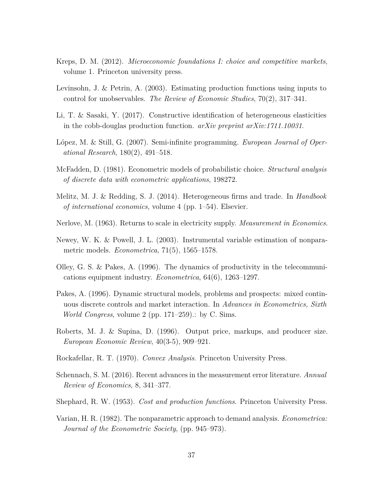- <span id="page-38-6"></span>Kreps, D. M. (2012). *Microeconomic foundations I: choice and competitive markets*, volume 1. Princeton university press.
- <span id="page-38-5"></span>Levinsohn, J. & Petrin, A. (2003). Estimating production functions using inputs to control for unobservables. *The Review of Economic Studies*, 70(2), 317–341.
- <span id="page-38-7"></span>Li, T. & Sasaki, Y. (2017). Constructive identification of heterogeneous elasticities in the cobb-douglas production function. *arXiv preprint arXiv:1711.10031*.
- <span id="page-38-13"></span>López, M. & Still, G. (2007). Semi-infinite programming. *European Journal of Operational Research*, 180(2), 491–518.
- <span id="page-38-3"></span>McFadden, D. (1981). Econometric models of probabilistic choice. *Structural analysis of discrete data with econometric applications*, 198272.
- <span id="page-38-10"></span>Melitz, M. J. & Redding, S. J. (2014). Heterogeneous firms and trade. In *Handbook of international economics*, volume 4 (pp. 1–54). Elsevier.
- <span id="page-38-1"></span>Nerlove, M. (1963). Returns to scale in electricity supply. *Measurement in Economics*.
- <span id="page-38-14"></span>Newey, W. K. & Powell, J. L. (2003). Instrumental variable estimation of nonparametric models. *Econometrica*, 71(5), 1565–1578.
- <span id="page-38-4"></span>Olley, G. S. & Pakes, A. (1996). The dynamics of productivity in the telecommunications equipment industry. *Econometrica*, 64(6), 1263–1297.
- <span id="page-38-8"></span>Pakes, A. (1996). Dynamic structural models, problems and prospects: mixed continuous discrete controls and market interaction. In *Advances in Econometrics, Sixth World Congress*, volume 2 (pp. 171–259).: by C. Sims.
- <span id="page-38-2"></span>Roberts, M. J. & Supina, D. (1996). Output price, markups, and producer size. *European Economic Review*, 40(3-5), 909–921.
- <span id="page-38-12"></span>Rockafellar, R. T. (1970). *Convex Analysis*. Princeton University Press.
- <span id="page-38-9"></span>Schennach, S. M. (2016). Recent advances in the measurement error literature. *Annual Review of Economics*, 8, 341–377.
- <span id="page-38-0"></span>Shephard, R. W. (1953). *Cost and production functions*. Princeton University Press.
- <span id="page-38-11"></span>Varian, H. R. (1982). The nonparametric approach to demand analysis. *Econometrica: Journal of the Econometric Society*, (pp. 945–973).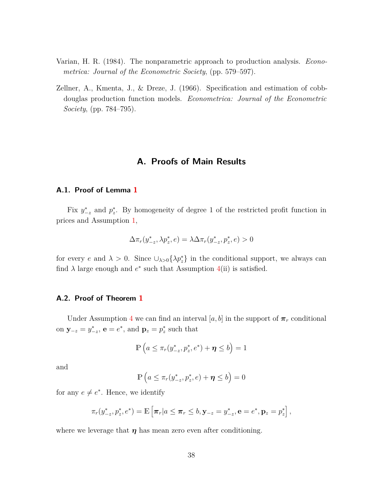- <span id="page-39-0"></span>Varian, H. R. (1984). The nonparametric approach to production analysis. *Econometrica: Journal of the Econometric Society*, (pp. 579–597).
- <span id="page-39-2"></span>Zellner, A., Kmenta, J., & Dreze, J. (1966). Specification and estimation of cobbdouglas production function models. *Econometrica: Journal of the Econometric Society*, (pp. 784–795).

## **A. Proofs of Main Results**

## <span id="page-39-1"></span>**A.1. Proof of Lemma [1](#page-14-1)**

Fix  $y_{-z}^*$  and  $p_z^*$ . By homogeneity of degree 1 of the restricted profit function in prices and Assumption [1,](#page-10-1)

$$
\Delta \pi_r(y^*_{-z}, \lambda p^*_z, e) = \lambda \Delta \pi_r(y^*_{-z}, p^*_z, e) > 0
$$

for every *e* and  $\lambda > 0$ . Since  $\cup_{\lambda > 0} {\{\lambda p_z^*\}}$  in the conditional support, we always can find  $\lambda$  large enough and  $e^*$  such that Assumption  $4(ii)$  is satisfied.

### **A.2. Proof of Theorem [1](#page-14-2)**

Under Assumption 4 we can find an interval [ $a, b$ ] in the support of  $\pi_r$  conditional on **y**<sub>−*z*</sub> =  $y_{-z}^*$ , **e** =  $e^*$ , and **p**<sub>*z*</sub> =  $p_z^*$  such that

$$
\mathbb{P}\left(a\leq \pi_r(y^*_{-z},p^*_z,e^*)+\boldsymbol{\eta}\leq b\right)=1
$$

and

$$
\mathbb{P}\left(a\leq \pi_r(y^*_{-z},p^*_z,e)+\boldsymbol{\eta}\leq b\right)=0
$$

for any  $e \neq e^*$ . Hence, we identify

$$
\pi_r(y_{-z}^*, p_z^*, e^*) = \mathbb{E}\left[\pi_r | a \leq \pi_r \leq b, \mathbf{y}_{-z} = y_{-z}^*, \mathbf{e} = e^*, \mathbf{p}_z = p_z^*\right],
$$

where we leverage that  $\eta$  has mean zero even after conditioning.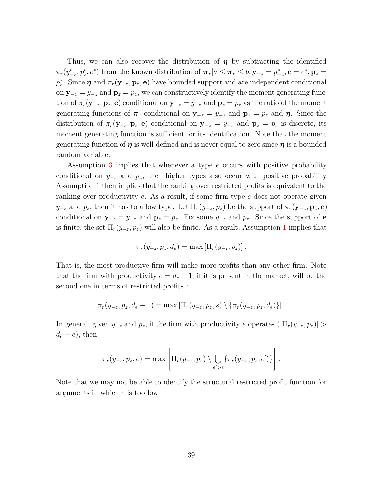Thus, we can also recover the distribution of *η* by subtracting the identified  $\pi_r(y_{-z}^*, p_z^*, e^*)$  from the known distribution of  $\pi_r | a \leq \pi_r \leq b, \mathbf{y}_{-z} = y_{-z}^*, \mathbf{e} = e^*, \mathbf{p}_z = e^*$ *p*<sup>\*</sup><sub>z</sub><sup>*z*</sup>. Since *η* and  $\pi_r(\mathbf{y}_{-z}, \mathbf{p}_z, \mathbf{e})$  have bounded support and are independent conditional on  $y_{-z} = y_{-z}$  and  $p_z = p_z$ , we can constructively identify the moment generating function of  $\pi_r(\mathbf{y}_{-z}, \mathbf{p}_z, \mathbf{e})$  conditional on  $\mathbf{y}_{-z} = y_{-z}$  and  $\mathbf{p}_z = p_z$  as the ratio of the moment generating functions of  $\pi_r$  conditional on  $y_{-z} = y_{-z}$  and  $p_z = p_z$  and  $\eta$ . Since the distribution of  $\pi_r(\mathbf{y}_{-z}, \mathbf{p}_z, \mathbf{e})$  conditional on  $\mathbf{y}_{-z} = y_{-z}$  and  $\mathbf{p}_z = p_z$  is discrete, its moment generating function is sufficient for its identification. Note that the moment generating function of *η* is well-defined and is never equal to zero since *η* is a bounded random variable.

Assumption [3](#page-12-1) implies that whenever a type *e* occurs with positive probability conditional on  $y_{-z}$  and  $p_z$ , then higher types also occur with positive probability. Assumption [1](#page-10-1) then implies that the ranking over restricted profits is equivalent to the ranking over productivity *e*. As a result, if some firm type *e* does not operate given *y*<sub>−*z*</sub> and *p<sub><i>z*</sub>, then it has to a low type. Let  $\Pi_r(y_{-z}, p_z)$  be the support of  $\pi_r(y_{-z}, p_z, e)$ conditional on  $\mathbf{y}_{-z} = y_{-z}$  and  $\mathbf{p}_z = p_z$ . Fix some  $y_{-z}$  and  $p_z$ . Since the support of **e** is finite, the set  $\Pi_r(y_{-z}, p_z)$  will also be finite. As a result, Assumption [1](#page-10-1) implies that

$$
\pi_r(y_{-z}, p_z, d_e) = \max \left[\Pi_r(y_{-z}, p_z)\right].
$$

That is, the most productive firm will make more profits than any other firm. Note that the firm with productivity  $e = d_e - 1$ , if it is present in the market, will be the second one in terms of restricted profits :

$$
\pi_r(y_{-z}, p_z, d_e - 1) = \max \left[ \Pi_r(y_{-z}, p_z, s) \setminus \{ \pi_r(y_{-z}, p_z, d_e) \} \right].
$$

In general, given  $y_{-z}$  and  $p_z$ , if the firm with productivity *e* operates ( $|\Pi_r(y_{-z}, p_z)| >$  $d_e - e$ , then

$$
\pi_r(y_{-z}, p_z, e) = \max \left[ \Pi_r(y_{-z}, p_z) \setminus \bigcup_{e' > e} \{\pi_r(y_{-z}, p_z, e')\}\right].
$$

Note that we may not be able to identify the structural restricted profit function for arguments in which *e* is too low.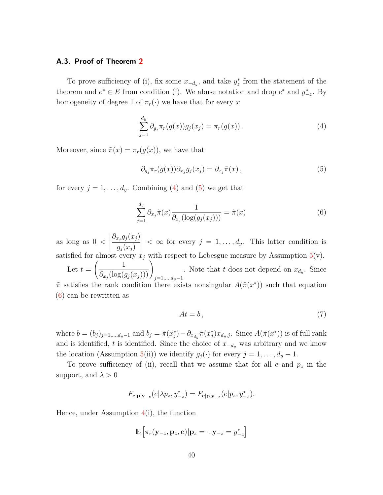## **A.3. Proof of Theorem [2](#page-18-0)**

To prove sufficiency of (i), fix some  $x_{-d_y}$ , and take  $y_z^*$  from the statement of the theorem and  $e^* \in E$  from condition (i). We abuse notation and drop  $e^*$  and  $y^*_{-z}$ . By homogeneity of degree 1 of  $\pi_r(\cdot)$  we have that for every x

<span id="page-41-0"></span>
$$
\sum_{j=1}^{d_y} \partial_{g_j} \pi_r(g(x)) g_j(x_j) = \pi_r(g(x)).
$$
\n(4)

Moreover, since  $\tilde{\pi}(x) = \pi_r(g(x))$ , we have that

<span id="page-41-1"></span>
$$
\partial_{g_j} \pi_r(g(x)) \partial_{x_j} g_j(x_j) = \partial_{x_j} \tilde{\pi}(x) , \qquad (5)
$$

for every  $j = 1, \ldots, d_y$ . Combining [\(4\)](#page-41-0) and [\(5\)](#page-41-1) we get that

$$
\sum_{j=1}^{d_y} \partial_{x_j} \tilde{\pi}(x) \frac{1}{\partial_{x_j}(\log(g_j(x_j)))} = \tilde{\pi}(x)
$$
\n(6)

as long as 0 *<*  $\begin{array}{c} \hline \end{array}$  $\partial_{x_j} g_j(x_j)$  $g_j(x_j)$   $<\infty$  for every  $j=1,\ldots,d_y$ . This latter condition is satisfied for almost every  $x_j$  with respect to Lebesgue measure by Assumption 5(v). Let  $t =$  $\begin{pmatrix} 1 \end{pmatrix}$  $\left.\frac{1}{\partial_{x_j}(\log(g_j(x_j)))}\right)_{j=1,...,d_y-1}$ . Note that *t* does not depend on  $x_{d_y}$ . Since *π*˜ satisfies the rank condition there exists nonsingular *A*(˜*π*(*x* )) such that equation ∗ [\(6\)](#page-41-2) can be rewritten as

<span id="page-41-2"></span>
$$
At = b \,,\tag{7}
$$

where  $b=(b_j)_{j=1,\dots,d_y-1}$  and  $b_j = \tilde{\pi}(x_j^*) - \partial_{x_{d_y}}\tilde{\pi}(x_j^*)x_{d_y,j}$ . Since  $A(\tilde{\pi}(x^*))$  is of full rank and is identified, *t* is identified. Since the choice of  $x_{-d_y}$  was arbitrary and we know the location (Assumption 5(ii)) we identify  $g_j(\cdot)$  for every  $j = 1, \ldots, d_y - 1$ .

To prove sufficiency of (ii), recall that we assume that for all *e* and *p<sup>z</sup>* in the support, and  $\lambda > 0$ 

$$
F_{\mathbf{e}|\mathbf{p},\mathbf{y}_{-z}}(e|\lambda p_z, y^*_{-z}) = F_{\mathbf{e}|\mathbf{p},\mathbf{y}_{-z}}(e|p_z, y^*_{-z}).
$$

Hence, under Assumption  $4(i)$ , the function

$$
\mathbb{E}\left[\pi_r(\mathbf{y}_{-z},\mathbf{p}_z,\mathbf{e})|\mathbf{p}_z=\cdot,\mathbf{y}_{-z}=y^*_{-z}\right]
$$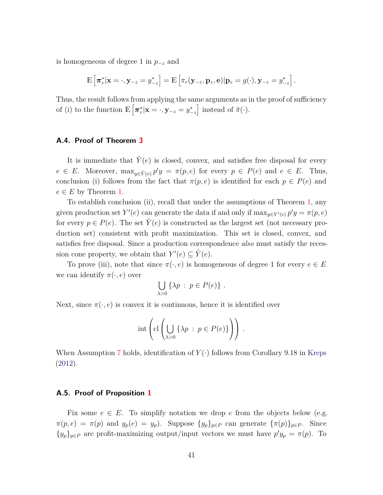is homogeneous of degree 1 in *p*−*<sup>z</sup>* and

$$
\mathbb{E}\left[\boldsymbol{\pi}_{r}^{*}|\mathbf{x}=\cdot,\mathbf{y}_{-z}=y_{-z}^{*}\right]=\mathbb{E}\left[\pi_{r}(\mathbf{y}_{-z},\mathbf{p}_{z},\mathbf{e})|\mathbf{p}_{z}=g(\cdot),\mathbf{y}_{-z}=y_{-z}^{*}\right].
$$

Thus, the result follows from applying the same arguments as in the proof of sufficiency of (i) to the function  $\mathbb{E}\left[\pi_r^*|\mathbf{x}=\cdot,\mathbf{y}_{-z}=y_{-z}^*\right]$  instead of  $\tilde{\pi}(\cdot)$ .

## **A.4. Proof of Theorem [3](#page-26-1)**

It is immediate that  $Y(e)$  is closed, convex, and satisfies free disposal for every  $e \in E$ . Moreover,  $\max_{y \in \tilde{Y}(e)} p'y = \pi(p, e)$  for every  $p \in P(e)$  and  $e \in E$ . Thus, conclusion (i) follows from the fact that  $\pi(p, e)$  is identified for each  $p \in P(e)$  and  $e \in E$  by Theorem [1.](#page-14-2)

To establish conclusion (ii), recall that under the assumptions of Theorem [1,](#page-14-2) any given production set  $Y'(e)$  can generate the data if and only if  $\max_{y \in Y'(e)} p'y = \pi(p, e)$ for every  $p \in P(e)$ . The set  $Y(e)$  is constructed as the largest set (not necessary production set) consistent with profit maximization. This set is closed, convex, and satisfies free disposal. Since a production correspondence *also* must satisfy the recession cone property, we obtain that  $Y'(e) \subseteq \tilde{Y}(e)$ .

To prove (iii), note that since  $\pi(\cdot, e)$  is homogeneous of degree 1 for every  $e \in E$ we can identify  $\pi(\cdot, e)$  over

$$
\bigcup_{\lambda>0} \{\lambda p : p \in P(e)\} .
$$

Next, since  $\pi(\cdot, e)$  is convex it is continuous, hence it is identified over

$$
\mathrm{int}\left(\mathrm{cl}\left(\bigcup_{\lambda>0}\left\{\lambda p\,:\,p\in P(e)\right\}\right)\right)\,.
$$

When Assumption [7](#page-25-0) holds, identification of *Y* (·) follows from Corollary 9.18 in [Kreps](#page-38-6) [\(2012\)](#page-38-6).

## **A.5. Proof of Proposition [1](#page-28-1)**

Fix some  $e \in E$ . To simplify notation we drop  $e$  from the objects below (e.g.  $\pi(p, e) = \pi(p)$  and  $y_p(e) = y_p$ . Suppose  $\{y_p\}_{p \in P}$  can generate  $\{\pi(p)\}_{p \in P}$ . Since  ${y_p}_{p \in P}$  are profit-maximizing output/input vectors we must have  $p'y_p = \pi(p)$ . To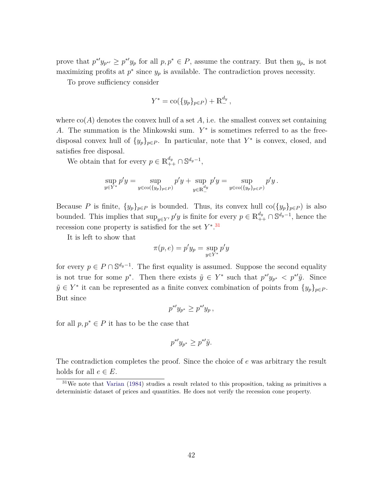prove that  $p^{*'}y_{p^{*'}} \geq p^{*'}y_p$  for all  $p, p^* \in P$ , assume the contrary. But then  $y_{p^*}$  is not maximizing profits at  $p^*$  since  $y_p$  is available. The contradiction proves necessity.

To prove sufficiency consider

$$
Y^* = \text{co}(\{y_p\}_{p \in P}) + \mathbb{R}^{d_y}_-,
$$

where  $\text{co}(A)$  denotes the convex hull of a set A, i.e. the smallest convex set containing *A*. The summation is the Minkowski sum. *Y* ∗ is sometimes referred to as the freedisposal convex hull of  $\{y_p\}_{p \in P}$ . In particular, note that  $Y^*$  is convex, closed, and satisfies free disposal.

We obtain that for every  $p \in \mathbb{R}^{d_y}_{++} \cap \mathbb{S}^{d_y-1}$ ,

$$
\sup_{y \in Y^*} p'y = \sup_{y \in \text{co}(\{y_p\}_{p \in P})} p'y + \sup_{y \in \mathbb{R}^{d_y}} p'y = \sup_{y \in \text{co}(\{y_p\}_{p \in P})} p'y.
$$

Because *P* is finite,  $\{y_p\}_{p \in P}$  is bounded. Thus, its convex hull co $(\{y_p\}_{p \in P})$  is also bounded. This implies that  $\sup_{y \in Y} p'y$  is finite for every  $p \in \mathbb{R}^{d_y}_{++} \cap \mathbb{S}^{d_y-1}$ , hence the recession cone property is satisfied for the set *Y* ∗ . [31](#page-43-0)

It is left to show that

$$
\pi(p, e) = p'y_p = \sup_{y \in Y^*} p'y
$$

for every  $p \in P \cap \mathbb{S}^{d_y-1}$ . The first equality is assumed. Suppose the second equality is not true for some  $p^*$ . Then there exists  $\tilde{y} \in Y^*$  such that  $p^{*'}y_{p^*} < p^{*'}\tilde{y}$ . Since  $\tilde{y} \in Y^*$  it can be represented as a finite convex combination of points from  $\{y_p\}_{p \in P}$ . But since

$$
p^{\ast \prime} y_{p^{\ast}} \geq p^{\ast \prime} y_p ,
$$

for all  $p, p^* \in P$  it has to be the case that

$$
p^*y_{p^*} \ge p^*\tilde{y}.
$$

The contradiction completes the proof. Since the choice of *e* was arbitrary the result holds for all  $e \in E$ .

<span id="page-43-0"></span> $31$ We note that [Varian](#page-39-0) [\(1984](#page-39-0)) studies a result related to this proposition, taking as primitives a deterministic dataset of prices and quantities. He does not verify the recession cone property.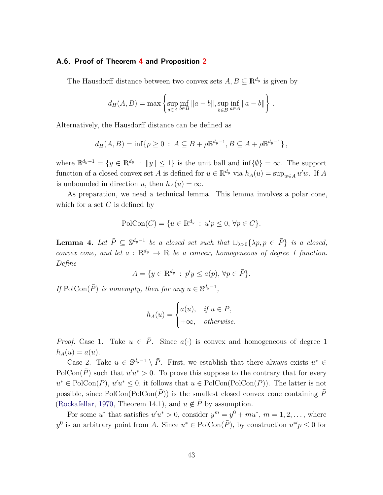## **A.6. Proof of Theorem [4](#page-32-1) and Proposition [2](#page-33-2)**

The Hausdorff distance between two convex sets  $A, B \subseteq \mathbb{R}^{d_y}$  is given by

$$
d_H(A, B) = \max \left\{ \sup_{a \in A} \inf_{b \in B} ||a - b||, \sup_{b \in B} \inf_{a \in A} ||a - b|| \right\}.
$$

Alternatively, the Hausdorff distance can be defined as

$$
d_H(A, B) = \inf \{ \rho \ge 0 \, : \, A \subseteq B + \rho \mathbb{B}^{d_y - 1}, B \subseteq A + \rho \mathbb{B}^{d_y - 1} \},
$$

where  $\mathbb{B}^{d_y-1} = \{y \in \mathbb{R}^{d_y} : ||y|| \leq 1\}$  is the unit ball and  $\inf\{\emptyset\} = \infty$ . The support function of a closed convex set *A* is defined for  $u \in \mathbb{R}^{d_y}$  via  $h_A(u) = \sup_{w \in A} u'w$ . If *A* is unbounded in direction *u*, then  $h_A(u) = \infty$ .

As preparation, we need a technical lemma. This lemma involves a polar cone, which for a set *C* is defined by

$$
\text{PolCon}(C) = \{ u \in \mathbb{R}^{d_y} : u'p \le 0, \forall p \in C \}.
$$

<span id="page-44-0"></span>**Lemma 4.** Let  $\overline{P} \subseteq \mathbb{S}^{d_y-1}$  be a closed set such that  $\bigcup_{\lambda>0} {\{\lambda p, p \in \overline{P}\}}$  is a closed, *convex cone, and let*  $a : \mathbb{R}^{d_y} \to \mathbb{R}$  *be a convex, homogeneous of degree 1 function. Define*

$$
A = \{ y \in \mathbb{R}^{d_y} : p'y \le a(p), \forall p \in \overline{P} \}.
$$

*If* PolCon( $\overline{P}$ ) *is nonempty, then for any*  $u \in \mathbb{S}^{d_y-1}$ ,

$$
h_A(u) = \begin{cases} a(u), & \text{if } u \in \bar{P}, \\ +\infty, & \text{otherwise.} \end{cases}
$$

*Proof.* Case 1. Take  $u \in \overline{P}$ . Since  $a(\cdot)$  is convex and homogeneous of degree 1  $h_A(u) = a(u)$ .

Case 2. Take  $u \in \mathbb{S}^{d_y-1} \setminus \overline{P}$ . First, we establish that there always exists  $u^* \in$  $PolCon(\overline{P})$  such that  $u'u^* > 0$ . To prove this suppose to the contrary that for every  $u^* \in \text{PolCon}(\overline{P}), u'u^* \leq 0$ , it follows that  $u \in \text{PolCon}(\text{PolCon}(\overline{P})).$  The latter is not possible, since  $PolCon(PolCon(P))$  is the smallest closed convex cone containing *P* [\(Rockafellar,](#page-38-12) [1970](#page-38-12), Theorem 14.1), and  $u \notin \overline{P}$  by assumption.

For some *u*<sup>\*</sup> that satisfies  $u'u^* > 0$ , consider  $y^m = y^0 + mu^*$ ,  $m = 1, 2, \ldots$ , where  $y^0$  is an arbitrary point from *A*. Since  $u^* \in \text{PolCon}(\overline{P})$ , by construction  $u^*{}'p \leq 0$  for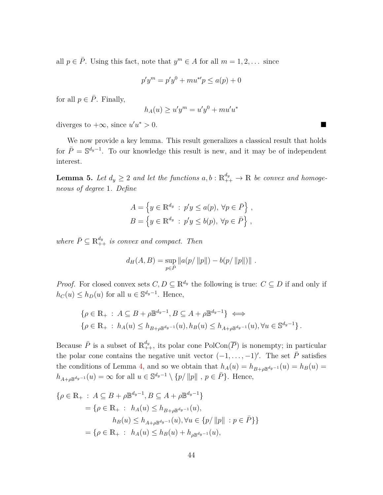all  $p \in \overline{P}$ . Using this fact, note that  $y^m \in A$  for all  $m = 1, 2, \ldots$  since

$$
p'y^{m} = p'y^{0} + mu^{*'}p \le a(p) + 0
$$

for all  $p \in \overline{P}$ . Finally,

$$
h_A(u) \ge u'y^m = u'y^0 + mu'u^*
$$

diverges to  $+\infty$ , since  $u'u$  $*$  > 0.

We now provide a key lemma. This result generalizes a classical result that holds for  $\bar{P} = \mathbb{S}^{d_y - 1}$ . To our knowledge this result is new, and it may be of independent interest.

<span id="page-45-0"></span>**Lemma 5.** Let  $d_y \geq 2$  and let the functions  $a, b : \mathbb{R}^{d_y}_{++} \to \mathbb{R}$  be convex and homoge*neous of degree* 1*. Define*

$$
A = \left\{ y \in \mathbb{R}^{d_y} : p'y \le a(p), \forall p \in \overline{P} \right\},\
$$
  

$$
B = \left\{ y \in \mathbb{R}^{d_y} : p'y \le b(p), \forall p \in \overline{P} \right\},\
$$

*where*  $\bar{P} \subseteq \mathbb{R}_{++}^{d_y}$  *is convex and compact. Then* 

$$
d_H(A, B) = \sup_{p \in \bar{P}} ||a(p/||p||) - b(p/||p||)||.
$$

*Proof.* For closed convex sets  $C, D \subseteq \mathbb{R}^{d_y}$  the following is true:  $C \subseteq D$  if and only if  $h_C(u) \le h_D(u)$  for all  $u \in \mathbb{S}^{d_y-1}$ . Hence,

$$
\{\rho \in \mathbb{R}_{+} : A \subseteq B + \rho \mathbb{B}^{d_y - 1}, B \subseteq A + \rho \mathbb{B}^{d_y - 1}\} \iff
$$
  

$$
\{\rho \in \mathbb{R}_{+} : h_A(u) \le h_{B + \rho \mathbb{B}^{d_y - 1}}(u), h_B(u) \le h_{A + \rho \mathbb{B}^{d_y - 1}}(u), \forall u \in \mathbb{S}^{d_y - 1}\}.
$$

Because  $\bar{P}$  is a subset of  $\mathbb{R}^{d_y}_{++}$ , its polar cone  $PolCon(\overline{P})$  is nonempty; in particular the polar cone contains the negative unit vector  $(-1, \ldots, -1)'$ . The set  $\overline{P}$  satisfies the conditions of Lemma [4,](#page-44-0) and so we obtain that  $h_A(u) = h_{B+\rho \mathbb{B}^{d_y-1}}(u) = h_B(u)$  $h_{A+\rho\mathbb{B}^{d_y-1}}(u) = \infty$  for all  $u \in \mathbb{S}^{d_y-1} \setminus \{p/||p||, p \in \overline{P}\}$ . Hence,

$$
\{\rho \in \mathbb{R}_{+} : A \subseteq B + \rho \mathbb{B}^{d_y - 1}, B \subseteq A + \rho \mathbb{B}^{d_y - 1}\}\n= \{\rho \in \mathbb{R}_{+} : h_A(u) \le h_{B + \rho \mathbb{B}^{d_y - 1}}(u),\nh_B(u) \le h_{A + \rho \mathbb{B}^{d_y - 1}}(u), \forall u \in \{p/||p|| : p \in \bar{P}\}\}\n= \{\rho \in \mathbb{R}_{+} : h_A(u) \le h_B(u) + h_{\rho \mathbb{B}^{d_y - 1}}(u),
$$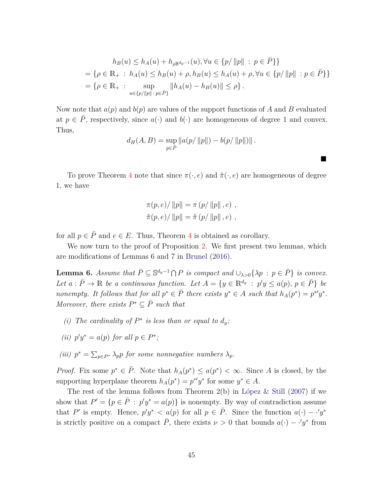$$
h_B(u) \le h_A(u) + h_{\rho \mathbb{B}^{d_y - 1}}(u), \forall u \in \{p/||p|| : p \in \overline{P}\}\}
$$
  
=  $\{\rho \in \mathbb{R}_+ : h_A(u) \le h_B(u) + \rho, h_B(u) \le h_A(u) + \rho, \forall u \in \{p/||p|| : p \in \overline{P}\}\}\$   
=  $\{\rho \in \mathbb{R}_+ : \sup_{u \in \{p/||p|| : p \in \overline{P}\}} ||h_A(u) - h_B(u)|| \le \rho\}.$ 

ш

Now note that  $a(p)$  and  $b(p)$  are values of the support functions of A and B evaluated at  $p \in \overline{P}$ , respectively, since  $a(\cdot)$  and  $b(\cdot)$  are homogeneous of degree 1 and convex. Thus,

$$
d_H(A, B) = \sup_{p \in \bar{P}} ||a(p/||p||) - b(p/||p||)||.
$$

To prove Theorem [4](#page-32-1) note that since  $\pi(\cdot, e)$  and  $\hat{\pi}(\cdot, e)$  are homogeneous of degree 1, we have

$$
\pi(p, e) / ||p|| = \pi (p/ ||p||, e) ,
$$
  

$$
\hat{\pi}(p, e) / ||p|| = \hat{\pi} (p/ ||p||, e) ,
$$

for all  $p \in \overline{P}$  and  $e \in E$ . Thus, Theorem [4](#page-32-1) is obtained as corollary.

We now turn to the proof of Proposition [2.](#page-33-2) We first present two lemmas, which are modifications of Lemmas 6 and 7 in [Brunel](#page-35-11) [\(2016](#page-35-11)).

<span id="page-46-0"></span>**Lemma 6.** *Assume that*  $\overline{P} \subseteq \mathbb{S}^{d_y-1} \cap P$  *is compact and*  $\cup_{\lambda>0} {\{\lambda p : p \in \overline{P}\}}$  *is convex.* Let  $a: \overline{P} \to \mathbb{R}$  *be a continuous function. Let*  $A = \{y \in \mathbb{R}^{d_y} : p'y \le a(p), p \in \overline{P}\}$  *be nonempty.* It follows that for all  $p^* \in \overline{P}$  there exists  $y^* \in A$  such that  $h_A(p^*) = p^*y^*$ . *Moreover, there exists*  $P^* \subseteq \overline{P}$  *such that* 

- *(i) The cardinality of*  $P^*$  *is less than or equal to*  $d_y$ ;
- (*ii*)  $p'y^* = a(p)$  *for all*  $p \in P^*$ ;
- *(iii)*  $p^* = \sum_{p \in P^*} \lambda_p p$  *for some nonnegative numbers*  $\lambda_p$ *.*

*Proof.* Fix some  $p^* \in \overline{P}$ . Note that  $h_A(p^*) \le a(p^*) < \infty$ . Since *A* is closed, by the supporting hyperplane theorem  $h_A(p^*) = p^{*\prime}y^*$  for some  $y^* \in A$ .

The rest of the lemma follows from Theorem  $2(b)$  in [López & Still](#page-38-13) [\(2007](#page-38-13)) if we show that  $P' = \{p \in \overline{P} : p'y^* = a(p)\}\$  is nonempty. By way of contradiction assume that *P*' is empty. Hence,  $p'y^* < a(p)$  for all  $p \in \overline{P}$ . Since the function  $a(\cdot) - \cdot' y^*$ is strictly positive on a compact  $\overline{P}$ , there exists  $\nu > 0$  that bounds  $a(\cdot) - \overline{\cdot}y^*$  from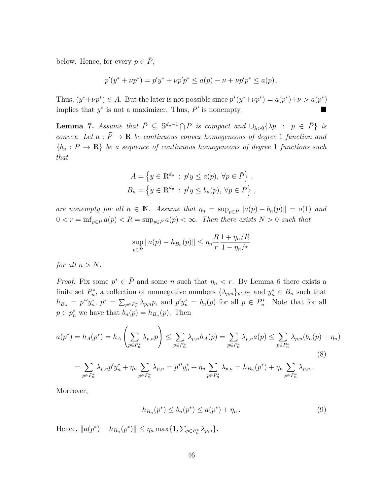below. Hence, for every  $p \in \overline{P}$ ,

$$
p'(y^* + \nu p^*) = p'y^* + \nu p'p^* \le a(p) - \nu + \nu p'p^* \le a(p).
$$

Thus,  $(y^* + \nu p^*) \in A$ . But the later is not possible since  $p^*(y^* + \nu p^*) = a(p^*) + \nu > a(p^*)$ implies that  $y^*$  is not a maximizer. Thus,  $P'$  is nonempty.

<span id="page-47-1"></span>**Lemma 7.** Assume that  $\overline{P} \subseteq \mathbb{S}^{d_y-1} \cap P$  is compact and  $\cup_{\lambda>0} {\{\lambda p \ : \ p \in \overline{P}\}}$  is *convex.* Let  $a : \overline{P} \to \mathbb{R}$  be continuous convex homogeneous of degree 1 *function and*  ${b_n : \overline{P} \rightarrow \mathbb{R}}$  *be a sequence of continuous homogeneous of degree* 1 *functions such that*

$$
A = \left\{ y \in \mathbb{R}^{d_y} : p'y \le a(p), \forall p \in \overline{P} \right\},\
$$
  

$$
B_n = \left\{ y \in \mathbb{R}^{d_y} : p'y \le b_n(p), \forall p \in \overline{P} \right\},\
$$

*are nonempty for all*  $n \in \mathbb{N}$ *. Assume that*  $\eta_n = \sup_{p \in \bar{P}} ||a(p) - b_n(p)|| = o(1)$  *and*  $0 < r = \inf_{p \in \overline{P}} a(p) < R = \sup_{p \in \overline{P}} a(p) < \infty$ . Then there exists  $N > 0$  such that

$$
\sup_{p \in \bar{P}} \|a(p) - h_{B_n}(p)\| \le \eta_n \frac{R}{r} \frac{1 + \eta_n/R}{1 - \eta_n/r}
$$

*for all*  $n > N$ *.* 

*Proof.* Fix some  $p^* \in \overline{P}$  and some *n* such that  $\eta_n < r$ . By Lemma [6](#page-46-0) there exists a finite set  $P_n^*$ , a collection of nonnegative numbers  $\{\lambda_{p,n}\}_{p \in P_n^*}$  and  $y_n^* \in B_n$  such that  $h_{B_n} = p^* y_n^*, p^* = \sum_{p \in P_n^*} \lambda_{p,n} p$ , and  $p' y_n^* = b_n(p)$  for all  $p \in P_n^*$ . Note that for all  $p \in p_n^*$  we have that  $b_n(p) = h_{B_n}(p)$ . Then

$$
a(p^*) = h_A(p^*) = h_A\left(\sum_{p \in P_n^*} \lambda_{p,n} p\right) \le \sum_{p \in P_n^*} \lambda_{p,n} h_A(p) = \sum_{p \in P_n^*} \lambda_{p,n} a(p) \le \sum_{p \in P_n^*} \lambda_{p,n} (b_n(p) + \eta_n)
$$
  
= 
$$
\sum_{p \in P_n^*} \lambda_{p,n} p' y_n^* + \eta_n \sum_{p \in P_n^*} \lambda_{p,n} = p^{*'} y_n^* + \eta_n \sum_{p \in P_n^*} \lambda_{p,n} = h_{B_n}(p^*) + \eta_n \sum_{p \in P_n^*} \lambda_{p,n}.
$$
 (8)

Moreover,

<span id="page-47-0"></span>
$$
h_{B_n}(p^*) \le b_n(p^*) \le a(p^*) + \eta_n. \tag{9}
$$

Hence,  $||a(p^*) - h_{B_n}(p^*)|| \leq \eta_n \max\{1, \sum_{p \in P_n^*} \lambda_{p,n}\}.$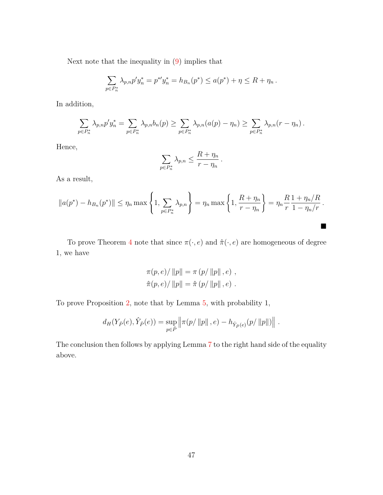Next note that the inequality in [\(9\)](#page-47-0) implies that

$$
\sum_{p \in P_n^*} \lambda_{p,n} p' y_n^* = p^{*'} y_n^* = h_{B_n}(p^*) \le a(p^*) + \eta \le R + \eta_n.
$$

In addition,

$$
\sum_{p\in P_n^*} \lambda_{p,n} p' y_n^* = \sum_{p\in P_n^*} \lambda_{p,n} b_n(p) \ge \sum_{p\in P_n^*} \lambda_{p,n}(a(p) - \eta_n) \ge \sum_{p\in P_n^*} \lambda_{p,n}(r - \eta_n).
$$

Hence,

$$
\sum_{p \in P_n^*} \lambda_{p,n} \le \frac{R + \eta_n}{r - \eta_n}
$$

*.*

 $\blacksquare$ 

As a result,

$$
||a(p^*) - h_{B_n}(p^*)|| \le \eta_n \max \left\{ 1, \sum_{p \in P_n^*} \lambda_{p,n} \right\} = \eta_n \max \left\{ 1, \frac{R + \eta_n}{r - \eta_n} \right\} = \eta_n \frac{R}{r} \frac{1 + \eta_n/R}{1 - \eta_n/r}.
$$

To prove Theorem [4](#page-32-1) note that since  $\pi(\cdot,e)$  and  $\hat{\pi}(\cdot,e)$  are homogeneous of degree 1, we have

$$
\pi(p, e) / ||p|| = \pi (p/ ||p||, e) ,
$$
  

$$
\hat{\pi}(p, e) / ||p|| = \hat{\pi} (p/ ||p||, e) .
$$

To prove Proposition [2,](#page-33-2) note that by Lemma [5,](#page-45-0) with probability 1,

$$
d_H(Y_{\bar{P}}(e), \hat{Y}_{\bar{P}}(e)) = \sup_{p \in \bar{P}} \left\| \pi(p/\|p\|, e) - h_{\hat{Y}_{\bar{P}}(e)}(p/\|p\|) \right\|.
$$

The conclusion then follows by applying Lemma [7](#page-47-1) to the right hand side of the equality above.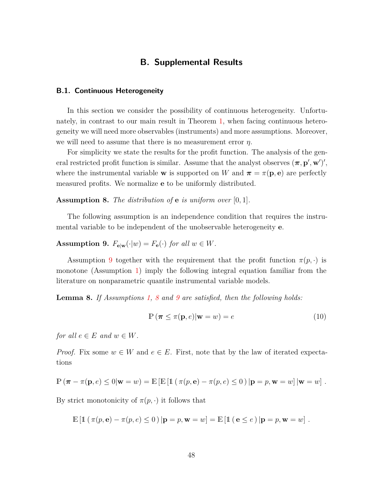## **B. Supplemental Results**

#### <span id="page-49-1"></span><span id="page-49-0"></span>**B.1. Continuous Heterogeneity**

In this section we consider the possibility of continuous heterogeneity. Unfortunately, in contrast to our main result in Theorem [1,](#page-14-2) when facing continuous heterogeneity we will need more observables (instruments) and more assumptions. Moreover, we will need to assume that there is no measurement error *η*.

For simplicity we state the results for the profit function. The analysis of the general restricted profit function is similar. Assume that the analyst observes  $(\pi, \mathbf{p}', \mathbf{w}')'$ , where the instrumental variable **w** is supported on *W* and  $\pi = \pi(\mathbf{p}, \mathbf{e})$  are perfectly measured profits. We normalize **e** to be uniformly distributed.

<span id="page-49-3"></span>**Assumption 8.** *The distribution of* **e** *is uniform over* [0*,* 1]*.*

The following assumption is an independence condition that requires the instrumental variable to be independent of the unobservable heterogeneity **e**.

<span id="page-49-2"></span>**Assumption 9.**  $F_{\mathbf{e}|\mathbf{w}}(\cdot|w) = F_{\mathbf{e}}(\cdot)$  *for all*  $w \in W$ *.* 

Assumption [9](#page-49-2) together with the requirement that the profit function  $\pi(p, \cdot)$  is monotone (Assumption [1\)](#page-10-1) imply the following integral equation familiar from the literature on nonparametric quantile instrumental variable models.

**Lemma 8.** *If Assumptions [1,](#page-10-1) [8](#page-49-3) and [9](#page-49-2) are satisfied, then the following holds:*

<span id="page-49-4"></span>
$$
\mathbb{P}\left(\pi \leq \pi(\mathbf{p}, e)|\mathbf{w} = w\right) = e \tag{10}
$$

*for all*  $e \in E$  *and*  $w \in W$ *.* 

*Proof.* Fix some  $w \in W$  and  $e \in E$ . First, note that by the law of iterated expectations

$$
\mathbb{P}(\pi - \pi(\mathbf{p}, e) \le 0 | \mathbf{w} = w) = \mathbb{E}[\mathbb{E}[\mathbb{1}(\pi(p, \mathbf{e}) - \pi(p, e) \le 0) | \mathbf{p} = p, \mathbf{w} = w] | \mathbf{w} = w].
$$

By strict monotonicity of  $\pi(p, \cdot)$  it follows that

 $\mathbb{E} [\mathbb{1} (\pi(p, e) - \pi(p, e) \le 0) | p = p, w = w] = \mathbb{E} [\mathbb{1} (e \le e) | p = p, w = w].$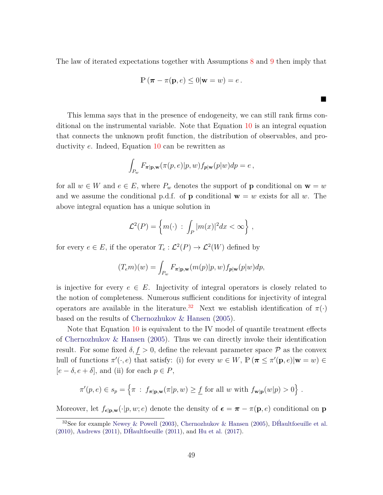The law of iterated expectations together with Assumptions [8](#page-49-3) and [9](#page-49-2) then imply that

$$
\mathbb{P}\left(\boldsymbol{\pi}-\pi(\mathbf{p},e)\leq 0\vert \mathbf{w}=w\right)=e\,.
$$

п

This lemma says that in the presence of endogeneity, we can still rank firms conditional on the instrumental variable. Note that Equation [10](#page-49-4) is an integral equation that connects the unknown profit function, the distribution of observables, and productivity *e*. Indeed, Equation [10](#page-49-4) can be rewritten as

$$
\int_{P_w} F_{\pi|\mathbf{p},\mathbf{w}}(\pi(p,e)|p,w) f_{\mathbf{p}|\mathbf{w}}(p|w) dp = e,
$$

for all  $w \in W$  and  $e \in E$ , where  $P_w$  denotes the support of **p** conditional on  $\mathbf{w} = w$ and we assume the conditional p.d.f. of **p** conditional  $\mathbf{w} = w$  exists for all w. The above integral equation has a unique solution in

$$
\mathcal{L}^2(P) = \left\{ m(\cdot) \ : \ \int_P |m(x)|^2 dx < \infty \right\},
$$

for every  $e \in E$ , if the operator  $T_e : \mathcal{L}^2(P) \to \mathcal{L}^2(W)$  defined by

$$
(T_e m)(w) = \int_{P_w} F_{\pi|\mathbf{p},\mathbf{w}}(m(p)|p,w) f_{p|\mathbf{w}}(p|w) dp,
$$

is injective for every  $e \in E$ . Injectivity of integral operators is closely related to the notion of completeness. Numerous sufficient conditions for injectivity of integral operators are available in the literature.<sup>[32](#page-50-0)</sup> Next we establish identification of  $\pi(\cdot)$ based on the results of [Chernozhukov & Hansen](#page-36-11) [\(2005](#page-36-11)).

Note that Equation [10](#page-49-4) is equivalent to the IV model of quantile treatment effects of [Chernozhukov & Hansen](#page-36-11) [\(2005\)](#page-36-11). Thus we can directly invoke their identification result. For some fixed  $\delta, f > 0$ , define the relevant parameter space P as the convex hull of functions  $\pi'(\cdot, e)$  that satisfy: (i) for every  $w \in W$ ,  $\mathbb{P}(\pi \leq \pi'(\mathbf{p}, e)|\mathbf{w} = w) \in$  $[e - \delta, e + \delta]$ , and (ii) for each  $p \in P$ ,

$$
\pi'(p,e) \in s_p = \left\{ \pi \ : \ f_{\pi|\mathbf{p},\mathbf{w}}(\pi|p,w) \geq \underline{f} \text{ for all } w \text{ with } f_{\mathbf{w}|\mathbf{p}}(w|p) > 0 \right\}.
$$

Moreover, let  $f_{\epsilon|\mathbf{p},\mathbf{w}}(\cdot|p,w;e)$  denote the density of  $\epsilon = \pi - \pi(\mathbf{p},e)$  conditional on **p** 

<span id="page-50-0"></span><sup>&</sup>lt;sup>32</sup>See for example [Newey & Powell](#page-38-14) [\(2003\)](#page-38-14), [Chernozhukov & Hansen](#page-36-11) [\(2005\)](#page-36-11), [DHaultfoeuille et al.](#page-36-12)  $(2010)$ , [Andrews](#page-34-7)  $(2011)$ , [DHaultfoeuille](#page-36-13)  $(2011)$  $(2011)$ , and [Hu et al.](#page-37-11)  $(2017)$ .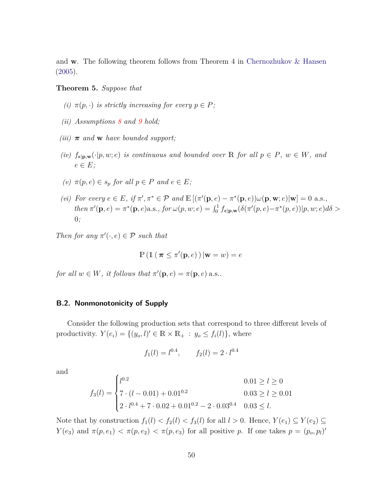and **w**. The following theorem follows from Theorem 4 in [Chernozhukov & Hansen](#page-36-11) [\(2005\)](#page-36-11).

#### **Theorem 5.** *Suppose that*

- *(i)*  $\pi(p, \cdot)$  *is strictly increasing for every*  $p \in P$ *;*
- *(ii) Assumptions [8](#page-49-3) and [9](#page-49-2) hold;*
- *(iii)*  $\pi$  *and* **w** *have bounded support;*
- *(iv)*  $f_{\epsilon|\mathbf{p},\mathbf{w}}(\cdot|p,w;e)$  *is continuous and bounded over* R *for all*  $p \in P$ *,*  $w \in W$ *, and*  $e \in E$ ;
- $(v)$   $\pi(p, e) \in s_p$  *for all*  $p \in P$  *and*  $e \in E$ *;*
- (vi) For every  $e \in E$ , if  $\pi', \pi^* \in \mathcal{P}$  and  $\mathbb{E}[(\pi'(\mathbf{p}, e) \pi^*(\mathbf{p}, e))\omega(\mathbf{p}, \mathbf{w}; e)|\mathbf{w}] = 0$  a.s., then  $\pi'(\mathbf{p}, e) = \pi^*(\mathbf{p}, e)$  a.s., for  $\omega(p, w; e) = \int_0^1 f_{\epsilon | \mathbf{p}, \mathbf{w}} (\delta(\pi'(p, e) - \pi^*(p, e)) | p, w; e) d\delta >$ 0*;*

*Then for any*  $\pi'(\cdot, e) \in \mathcal{P}$  *such that* 

$$
\mathbb{P}\left(\mathbb{1}\left(\,\boldsymbol{\pi}\leq\pi'(\mathbf{p},e)\,\right)|\mathbf{w}=w\right)=e
$$

*for all*  $w \in W$ *, it follows that*  $\pi'(\mathbf{p}, e) = \pi(\mathbf{p}, e)$  a.s..

#### <span id="page-51-0"></span>**B.2. Nonmonotonicity of Supply**

Consider the following production sets that correspond to three different levels of productivity.  $Y(e_i) = \{(y_o, l)' \in \mathbb{R} \times \mathbb{R}_+ : y_o \le f_i(l)\}\$ , where

$$
f_1(l) = l^{0.4},
$$
  $f_2(l) = 2 \cdot l^{0.4}$ 

and

$$
f_3(l) = \begin{cases} l^{0.2} & 0.01 \ge l \ge 0 \\ 7 \cdot (l - 0.01) + 0.01^{0.2} & 0.03 \ge l \ge 0.01 \\ 2 \cdot l^{0.4} + 7 \cdot 0.02 + 0.01^{0.2} - 2 \cdot 0.03^{0.4} & 0.03 \le l. \end{cases}
$$

Note that by construction  $f_1(l) < f_2(l) < f_3(l)$  for all  $l > 0$ . Hence,  $Y(e_1) \subseteq Y(e_2) \subseteq Y(e_3)$ *Y*(*e*<sub>3</sub>) and  $\pi(p, e_1) < \pi(p, e_2) < \pi(p, e_3)$  for all positive *p*. If one takes  $p = (p_o, p_l)'$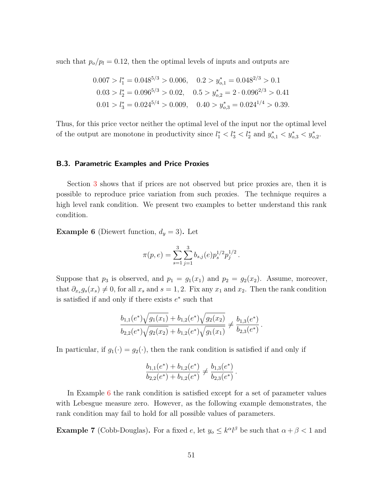such that  $p_o/p_l = 0.12$ , then the optimal levels of inputs and outputs are

$$
0.007 > l_1^* = 0.048^{5/3} > 0.006, \quad 0.2 > y_{o,1}^* = 0.048^{2/3} > 0.1
$$
  

$$
0.03 > l_2^* = 0.096^{5/3} > 0.02, \quad 0.5 > y_{o,2}^* = 2 \cdot 0.096^{2/3} > 0.41
$$
  

$$
0.01 > l_3^* = 0.024^{5/4} > 0.009, \quad 0.40 > y_{o,3}^* = 0.024^{1/4} > 0.39.
$$

Thus, for this price vector neither the optimal level of the input nor the optimal level of the output are monotone in productivity since  $l_1^* < l_3^* < l_2^*$  and  $y_{o,1}^* < y_{o,3}^* < y_{o,2}^*$ .

#### <span id="page-52-0"></span>**B.3. Parametric Examples and Price Proxies**

Section [3](#page-15-0) shows that if prices are not observed but price proxies are, then it is possible to reproduce price variation from such proxies. The technique requires a high level rank condition. We present two examples to better understand this rank condition.

<span id="page-52-1"></span>**Example 6** (Diewert function,  $d_y = 3$ ). Let

$$
\pi(p,e) = \sum_{s=1}^3 \sum_{j=1}^3 b_{s,j}(e) p_s^{1/2} p_j^{1/2}.
$$

Suppose that  $p_3$  is observed, and  $p_1 = g_1(x_1)$  and  $p_2 = g_2(x_2)$ . Assume, moreover, that  $\partial_{x_s} g_s(x_s) \neq 0$ , for all  $x_s$  and  $s = 1, 2$ . Fix any  $x_1$  and  $x_2$ . Then the rank condition is satisfied if and only if there exists  $e^*$  such that

$$
\frac{b_{1,1}(e^*)\sqrt{g_1(x_1)} + b_{1,2}(e^*)\sqrt{g_2(x_2)}}{b_{2,2}(e^*)\sqrt{g_2(x_2)} + b_{1,2}(e^*)\sqrt{g_1(x_1)}} \neq \frac{b_{1,3}(e^*)}{b_{2,3}(e^*)}.
$$

In particular, if  $g_1(\cdot) = g_2(\cdot)$ , then the rank condition is satisfied if and only if

$$
\frac{b_{1,1}(e^*) + b_{1,2}(e^*)}{b_{2,2}(e^*) + b_{1,2}(e^*)} \neq \frac{b_{1,3}(e^*)}{b_{2,3}(e^*)}.
$$

In Example [6](#page-52-1) the rank condition is satisfied except for a set of parameter values with Lebesgue measure zero. However, as the following example demonstrates, the rank condition may fail to hold for all possible values of parameters.

**Example 7** (Cobb-Douglas). For a fixed *e*, let  $y_o \leq k^{\alpha}l^{\beta}$  be such that  $\alpha + \beta < 1$  and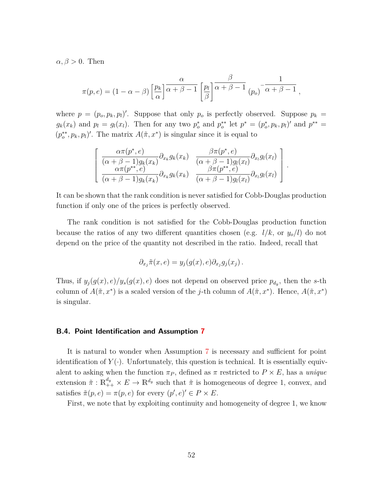$\alpha, \beta > 0$ . Then

$$
\pi(p,e) = (1 - \alpha - \beta) \left[ \frac{p_k}{\alpha} \right] \frac{\alpha}{\alpha + \beta - 1} \left[ \frac{p_l}{\beta} \right] \frac{\beta}{\alpha + \beta - 1} \left[ \frac{p_o}{\alpha + \beta - 1} \right],
$$

where  $p = (p_o, p_k, p_l)'$ . Suppose that only  $p_o$  is perfectly observed. Suppose  $p_k =$  $g_k(x_k)$  and  $p_l = g_l(x_l)$ . Then for any two  $p_o^*$  and  $p_o^{**}$  let  $p^* = (p_o^*, p_k, p_l)'$  and  $p^{**} =$  $(p_o^{**}, p_k, p_l)'$ . The matrix  $A(\tilde{\pi}, x^*)$  is singular since it is equal to

$$
\begin{bmatrix}\n\frac{\alpha\pi(p^*,e)}{(\alpha+\beta-1)g_k(x_k)}\partial_{x_k}g_k(x_k) & \frac{\beta\pi(p^*,e)}{(\alpha+\beta-1)g_l(x_l)}\partial_{x_l}g_l(x_l) \\
\frac{\alpha\pi(p^{**},e)}{(\alpha+\beta-1)g_k(x_k)}\partial_{x_k}g_k(x_k) & \frac{\beta\pi(p^{**},e)}{(\alpha+\beta-1)g_l(x_l)}\partial_{x_l}g_l(x_l)\n\end{bmatrix}
$$

*.*

It can be shown that the rank condition is never satisfied for Cobb-Douglas production function if only one of the prices is perfectly observed.

The rank condition is not satisfied for the Cobb-Douglas production function because the ratios of any two different quantities chosen (e.g.  $l/k$ , or  $y_o/l$ ) do not depend on the price of the quantity not described in the ratio. Indeed, recall that

$$
\partial_{x_j} \tilde{\pi}(x, e) = y_j(g(x), e) \partial_{x_j} g_j(x_j).
$$

Thus, if  $y_j(g(x), e)/y_s(g(x), e)$  does not depend on observed price  $p_{d_y}$ , then the *s*-th column of  $A(\tilde{\pi}, x^*)$  is a scaled version of the *j*-th column of  $A(\tilde{\pi}, x^*)$ . Hence,  $A(\tilde{\pi}, x^*)$ is singular.

#### <span id="page-53-0"></span>**B.4. Point Identification and Assumption [7](#page-25-0)**

It is natural to wonder when Assumption [7](#page-25-0) is necessary and sufficient for point identification of  $Y(\cdot)$ . Unfortunately, this question is technical. It is essentially equivalent to asking when the function  $\pi_P$ , defined as  $\pi$  restricted to  $P \times E$ , has a *unique* extension  $\tilde{\pi}: \mathbb{R}^{d_y}_{++} \times E \to \mathbb{R}^{d_y}$  such that  $\tilde{\pi}$  is homogeneous of degree 1, convex, and satisfies  $\tilde{\pi}(p, e) = \pi(p, e)$  for every  $(p', e)' \in P \times E$ .

First, we note that by exploiting continuity and homogeneity of degree 1, we know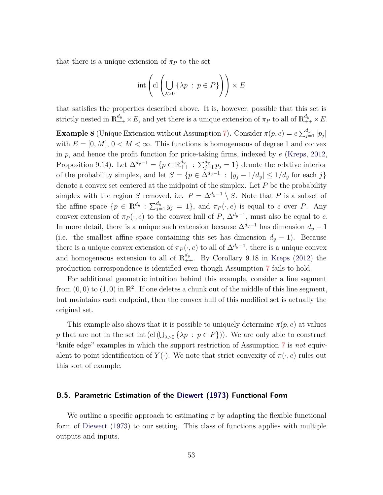that there is a unique extension of  $\pi_P$  to the set

$$
\mathrm{int}\left(\mathrm{cl}\left(\bigcup_{\lambda>0}\left\{\lambda p\,:\,p\in P\right\}\right)\right)\times E
$$

that satisfies the properties described above. It is, however, possible that this set is strictly nested in  $\mathbb{R}^{d_y}_{++} \times E$ , and yet there is a unique extension of  $\pi_P$  to all of  $\mathbb{R}^{d_y}_{++} \times E$ .

**Example 8** (Unique Extension without Assumption [7\)](#page-25-0). Consider  $\pi(p, e) = e \sum_{j=1}^{d_y} |p_j|$ with  $E = [0, M], 0 < M < \infty$ . This functions is homogeneous of degree 1 and convex in *p*, and hence the profit function for price-taking firms, indexed by *e* [\(Kreps,](#page-38-6) [2012](#page-38-6), Proposition 9.14). Let  $\Delta^{d_y-1} = \{p \in \mathbb{R}^{d_y}_{++} : \sum_{j=1}^{d_y} p_j = 1\}$  denote the relative interior of the probability simplex, and let  $S = \{p \in \Delta^{d_y-1} : |y_j - 1/d_y| \leq 1/d_y \text{ for each } j\}$ denote a convex set centered at the midpoint of the simplex. Let *P* be the probability simplex with the region *S* removed, i.e.  $P = \Delta^{d_y-1} \setminus S$ . Note that *P* is a subset of the affine space  $\{p \in \mathbb{R}^{d_y} : \sum_{j=1}^{d_y} y_j = 1\}$ , and  $\pi_P(\cdot, e)$  is equal to *e* over *P*. Any convex extension of  $\pi_P(\cdot, e)$  to the convex hull of  $P$ ,  $\Delta^{d_y-1}$ , must also be equal to *e*. In more detail, there is a unique such extension because  $\Delta^{d_y-1}$  has dimension  $d_y-1$ (i.e. the smallest affine space containing this set has dimension  $d_y - 1$ ). Because there is a unique convex extension of  $\pi_P(\cdot, e)$  to all of  $\Delta^{d_y-1}$ , there is a unique convex and homogeneous extension to all of  $\mathbb{R}^{d_y}_{++}$ . By Corollary 9.18 in [Kreps](#page-38-6) [\(2012](#page-38-6)) the production correspondence is identified even though Assumption [7](#page-25-0) fails to hold.

For additional geometric intuition behind this example, consider a line segment from  $(0,0)$  to  $(1,0)$  in  $\mathbb{R}^2$ . If one deletes a chunk out of the middle of this line segment, but maintains each endpoint, then the convex hull of this modified set is actually the original set.

This example also shows that it is possible to uniquely determine  $\pi(p, e)$  at values *p* that are not in the set int (cl ( $\bigcup_{\lambda>0} \{\lambda p : p \in P\}$ )). We are only able to construct "knife edge" examples in which the support restriction of Assumption [7](#page-25-0) is *not* equivalent to point identification of  $Y(\cdot)$ . We note that strict convexity of  $\pi(\cdot, e)$  rules out this sort of example.

#### <span id="page-54-0"></span>**B.5. Parametric Estimation of the [Diewert](#page-36-10) [\(1973](#page-36-10)) Functional Form**

We outline a specific approach to estimating  $\pi$  by adapting the flexible functional form of [Diewert](#page-36-10) [\(1973](#page-36-10)) to our setting. This class of functions applies with multiple outputs and inputs.